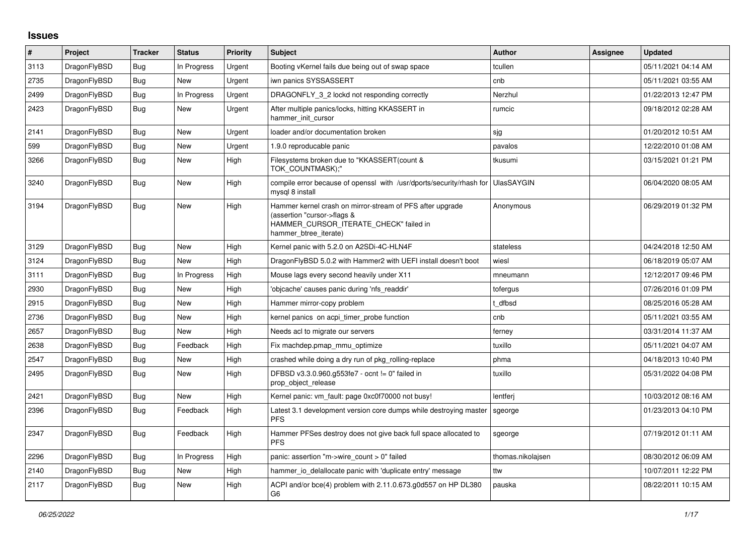## **Issues**

| $\vert$ # | Project      | <b>Tracker</b> | <b>Status</b> | <b>Priority</b> | <b>Subject</b>                                                                                                                                              | Author            | <b>Assignee</b> | <b>Updated</b>      |
|-----------|--------------|----------------|---------------|-----------------|-------------------------------------------------------------------------------------------------------------------------------------------------------------|-------------------|-----------------|---------------------|
| 3113      | DragonFlyBSD | <b>Bug</b>     | In Progress   | Urgent          | Booting vKernel fails due being out of swap space                                                                                                           | tcullen           |                 | 05/11/2021 04:14 AM |
| 2735      | DragonFlyBSD | Bug            | <b>New</b>    | Urgent          | iwn panics SYSSASSERT                                                                                                                                       | cnb               |                 | 05/11/2021 03:55 AM |
| 2499      | DragonFlyBSD | Bug            | In Progress   | Urgent          | DRAGONFLY 3 2 lockd not responding correctly                                                                                                                | Nerzhul           |                 | 01/22/2013 12:47 PM |
| 2423      | DragonFlyBSD | Bug            | <b>New</b>    | Urgent          | After multiple panics/locks, hitting KKASSERT in<br>hammer_init_cursor                                                                                      | rumcic            |                 | 09/18/2012 02:28 AM |
| 2141      | DragonFlyBSD | <b>Bug</b>     | <b>New</b>    | Urgent          | loader and/or documentation broken                                                                                                                          | sjg               |                 | 01/20/2012 10:51 AM |
| 599       | DragonFlyBSD | Bug            | New           | Urgent          | 1.9.0 reproducable panic                                                                                                                                    | pavalos           |                 | 12/22/2010 01:08 AM |
| 3266      | DragonFlyBSD | Bug            | New           | High            | Filesystems broken due to "KKASSERT(count &<br>TOK COUNTMASK);"                                                                                             | tkusumi           |                 | 03/15/2021 01:21 PM |
| 3240      | DragonFlyBSD | <b>Bug</b>     | New           | High            | compile error because of openssl with /usr/dports/security/rhash for<br>mysql 8 install                                                                     | <b>UlasSAYGIN</b> |                 | 06/04/2020 08:05 AM |
| 3194      | DragonFlyBSD | Bug            | <b>New</b>    | High            | Hammer kernel crash on mirror-stream of PFS after upgrade<br>(assertion "cursor->flags &<br>HAMMER_CURSOR_ITERATE_CHECK" failed in<br>hammer btree iterate) | Anonymous         |                 | 06/29/2019 01:32 PM |
| 3129      | DragonFlyBSD | <b>Bug</b>     | New           | High            | Kernel panic with 5.2.0 on A2SDi-4C-HLN4F                                                                                                                   | stateless         |                 | 04/24/2018 12:50 AM |
| 3124      | DragonFlyBSD | Bug            | New           | High            | DragonFlyBSD 5.0.2 with Hammer2 with UEFI install doesn't boot                                                                                              | wiesl             |                 | 06/18/2019 05:07 AM |
| 3111      | DragonFlyBSD | Bug            | In Progress   | High            | Mouse lags every second heavily under X11                                                                                                                   | mneumann          |                 | 12/12/2017 09:46 PM |
| 2930      | DragonFlyBSD | Bug            | <b>New</b>    | High            | 'obicache' causes panic during 'nfs readdir'                                                                                                                | tofergus          |                 | 07/26/2016 01:09 PM |
| 2915      | DragonFlyBSD | Bug            | New           | High            | Hammer mirror-copy problem                                                                                                                                  | t dfbsd           |                 | 08/25/2016 05:28 AM |
| 2736      | DragonFlyBSD | Bug            | New           | High            | kernel panics on acpi_timer_probe function                                                                                                                  | cnb               |                 | 05/11/2021 03:55 AM |
| 2657      | DragonFlyBSD | Bug            | <b>New</b>    | High            | Needs acl to migrate our servers                                                                                                                            | ferney            |                 | 03/31/2014 11:37 AM |
| 2638      | DragonFlyBSD | Bug            | Feedback      | High            | Fix machdep.pmap mmu optimize                                                                                                                               | tuxillo           |                 | 05/11/2021 04:07 AM |
| 2547      | DragonFlyBSD | Bug            | New           | High            | crashed while doing a dry run of pkg rolling-replace                                                                                                        | phma              |                 | 04/18/2013 10:40 PM |
| 2495      | DragonFlyBSD | Bug            | New           | High            | DFBSD v3.3.0.960.g553fe7 - ocnt != 0" failed in<br>prop_object_release                                                                                      | tuxillo           |                 | 05/31/2022 04:08 PM |
| 2421      | DragonFlyBSD | <b>Bug</b>     | <b>New</b>    | High            | Kernel panic: vm_fault: page 0xc0f70000 not busy!                                                                                                           | lentferi          |                 | 10/03/2012 08:16 AM |
| 2396      | DragonFlyBSD | Bug            | Feedback      | High            | Latest 3.1 development version core dumps while destroying master<br><b>PFS</b>                                                                             | sgeorge           |                 | 01/23/2013 04:10 PM |
| 2347      | DragonFlyBSD | Bug            | Feedback      | High            | Hammer PFSes destroy does not give back full space allocated to<br><b>PFS</b>                                                                               | sgeorge           |                 | 07/19/2012 01:11 AM |
| 2296      | DragonFlyBSD | Bug            | In Progress   | High            | panic: assertion "m->wire count > 0" failed                                                                                                                 | thomas.nikolajsen |                 | 08/30/2012 06:09 AM |
| 2140      | DragonFlyBSD | Bug            | New           | High            | hammer io delallocate panic with 'duplicate entry' message                                                                                                  | ttw               |                 | 10/07/2011 12:22 PM |
| 2117      | DragonFlyBSD | Bug            | New           | High            | ACPI and/or bce(4) problem with 2.11.0.673.g0d557 on HP DL380<br>G <sub>6</sub>                                                                             | pauska            |                 | 08/22/2011 10:15 AM |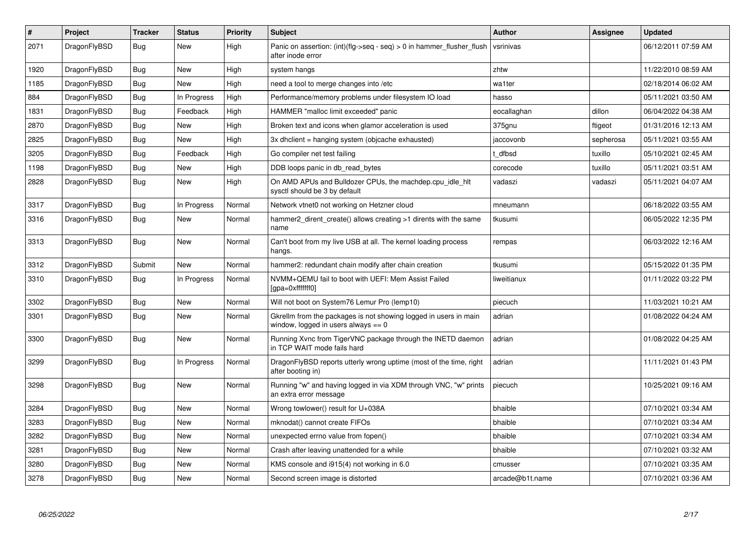| $\vert$ # | Project      | <b>Tracker</b> | <b>Status</b> | <b>Priority</b> | <b>Subject</b>                                                                                          | <b>Author</b>   | Assignee  | <b>Updated</b>      |
|-----------|--------------|----------------|---------------|-----------------|---------------------------------------------------------------------------------------------------------|-----------------|-----------|---------------------|
| 2071      | DragonFlyBSD | Bug            | <b>New</b>    | High            | Panic on assertion: (int)(flg->seq - seq) > 0 in hammer_flusher_flush<br>after inode error              | vsrinivas       |           | 06/12/2011 07:59 AM |
| 1920      | DragonFlyBSD | <b>Bug</b>     | New           | High            | system hangs                                                                                            | zhtw            |           | 11/22/2010 08:59 AM |
| 1185      | DragonFlyBSD | <b>Bug</b>     | <b>New</b>    | High            | need a tool to merge changes into /etc                                                                  | wa1ter          |           | 02/18/2014 06:02 AM |
| 884       | DragonFlyBSD | <b>Bug</b>     | In Progress   | High            | Performance/memory problems under filesystem IO load                                                    | hasso           |           | 05/11/2021 03:50 AM |
| 1831      | DragonFlyBSD | Bug            | Feedback      | High            | HAMMER "malloc limit exceeded" panic                                                                    | eocallaghan     | dillon    | 06/04/2022 04:38 AM |
| 2870      | DragonFlyBSD | <b>Bug</b>     | <b>New</b>    | High            | Broken text and icons when glamor acceleration is used                                                  | 375gnu          | ftigeot   | 01/31/2016 12:13 AM |
| 2825      | DragonFlyBSD | <b>Bug</b>     | New           | High            | 3x dhclient = hanging system (objcache exhausted)                                                       | jaccovonb       | sepherosa | 05/11/2021 03:55 AM |
| 3205      | DragonFlyBSD | Bug            | Feedback      | High            | Go compiler net test failing                                                                            | t dfbsd         | tuxillo   | 05/10/2021 02:45 AM |
| 1198      | DragonFlyBSD | <b>Bug</b>     | <b>New</b>    | High            | DDB loops panic in db read bytes                                                                        | corecode        | tuxillo   | 05/11/2021 03:51 AM |
| 2828      | DragonFlyBSD | <b>Bug</b>     | <b>New</b>    | High            | On AMD APUs and Bulldozer CPUs, the machdep.cpu_idle_hlt<br>sysctl should be 3 by default               | vadaszi         | vadaszi   | 05/11/2021 04:07 AM |
| 3317      | DragonFlyBSD | <b>Bug</b>     | In Progress   | Normal          | Network vtnet0 not working on Hetzner cloud                                                             | mneumann        |           | 06/18/2022 03:55 AM |
| 3316      | DragonFlyBSD | Bug            | <b>New</b>    | Normal          | hammer2 dirent create() allows creating >1 dirents with the same<br>name                                | tkusumi         |           | 06/05/2022 12:35 PM |
| 3313      | DragonFlyBSD | <b>Bug</b>     | New           | Normal          | Can't boot from my live USB at all. The kernel loading process<br>hangs.                                | rempas          |           | 06/03/2022 12:16 AM |
| 3312      | DragonFlyBSD | Submit         | New           | Normal          | hammer2: redundant chain modify after chain creation                                                    | tkusumi         |           | 05/15/2022 01:35 PM |
| 3310      | DragonFlyBSD | Bug            | In Progress   | Normal          | NVMM+QEMU fail to boot with UEFI: Mem Assist Failed<br>[gpa=0xfffffff0]                                 | liweitianux     |           | 01/11/2022 03:22 PM |
| 3302      | DragonFlyBSD | <b>Bug</b>     | <b>New</b>    | Normal          | Will not boot on System76 Lemur Pro (lemp10)                                                            | piecuch         |           | 11/03/2021 10:21 AM |
| 3301      | DragonFlyBSD | Bug            | <b>New</b>    | Normal          | Gkrellm from the packages is not showing logged in users in main<br>window, logged in users always == 0 | adrian          |           | 01/08/2022 04:24 AM |
| 3300      | DragonFlyBSD | <b>Bug</b>     | New           | Normal          | Running Xvnc from TigerVNC package through the INETD daemon<br>in TCP WAIT mode fails hard              | adrian          |           | 01/08/2022 04:25 AM |
| 3299      | DragonFlyBSD | <b>Bug</b>     | In Progress   | Normal          | DragonFlyBSD reports utterly wrong uptime (most of the time, right<br>after booting in)                 | adrian          |           | 11/11/2021 01:43 PM |
| 3298      | DragonFlyBSD | Bug            | New           | Normal          | Running "w" and having logged in via XDM through VNC, "w" prints<br>an extra error message              | piecuch         |           | 10/25/2021 09:16 AM |
| 3284      | DragonFlyBSD | Bug            | New           | Normal          | Wrong towlower() result for U+038A                                                                      | bhaible         |           | 07/10/2021 03:34 AM |
| 3283      | DragonFlyBSD | Bug            | New           | Normal          | mknodat() cannot create FIFOs                                                                           | bhaible         |           | 07/10/2021 03:34 AM |
| 3282      | DragonFlyBSD | <b>Bug</b>     | <b>New</b>    | Normal          | unexpected errno value from fopen()                                                                     | bhaible         |           | 07/10/2021 03:34 AM |
| 3281      | DragonFlyBSD | Bug            | New           | Normal          | Crash after leaving unattended for a while                                                              | bhaible         |           | 07/10/2021 03:32 AM |
| 3280      | DragonFlyBSD | Bug            | <b>New</b>    | Normal          | KMS console and i915(4) not working in 6.0                                                              | cmusser         |           | 07/10/2021 03:35 AM |
| 3278      | DragonFlyBSD | Bug            | New           | Normal          | Second screen image is distorted                                                                        | arcade@b1t.name |           | 07/10/2021 03:36 AM |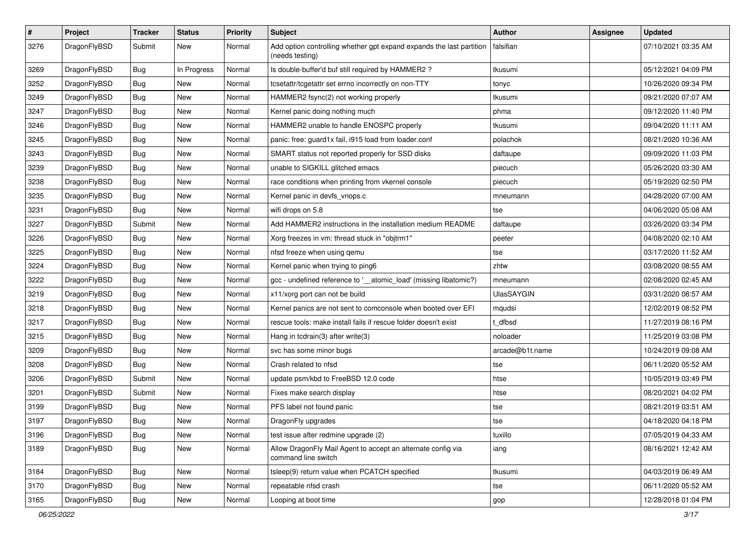| $\sharp$ | Project      | <b>Tracker</b> | <b>Status</b> | <b>Priority</b> | Subject                                                                                 | <b>Author</b>   | <b>Assignee</b> | <b>Updated</b>      |
|----------|--------------|----------------|---------------|-----------------|-----------------------------------------------------------------------------------------|-----------------|-----------------|---------------------|
| 3276     | DragonFlyBSD | Submit         | New           | Normal          | Add option controlling whether gpt expand expands the last partition<br>(needs testing) | falsifian       |                 | 07/10/2021 03:35 AM |
| 3269     | DragonFlyBSD | Bug            | In Progress   | Normal          | Is double-buffer'd buf still required by HAMMER2?                                       | tkusumi         |                 | 05/12/2021 04:09 PM |
| 3252     | DragonFlyBSD | <b>Bug</b>     | <b>New</b>    | Normal          | tcsetattr/tcgetattr set errno incorrectly on non-TTY                                    | tonyc           |                 | 10/26/2020 09:34 PM |
| 3249     | DragonFlyBSD | <b>Bug</b>     | <b>New</b>    | Normal          | HAMMER2 fsync(2) not working properly                                                   | tkusumi         |                 | 09/21/2020 07:07 AM |
| 3247     | DragonFlyBSD | <b>Bug</b>     | <b>New</b>    | Normal          | Kernel panic doing nothing much                                                         | phma            |                 | 09/12/2020 11:40 PM |
| 3246     | DragonFlyBSD | <b>Bug</b>     | <b>New</b>    | Normal          | HAMMER2 unable to handle ENOSPC properly                                                | tkusumi         |                 | 09/04/2020 11:11 AM |
| 3245     | DragonFlyBSD | <b>Bug</b>     | New           | Normal          | panic: free: guard1x fail, i915 load from loader.conf                                   | polachok        |                 | 08/21/2020 10:36 AM |
| 3243     | DragonFlyBSD | <b>Bug</b>     | <b>New</b>    | Normal          | SMART status not reported properly for SSD disks                                        | daftaupe        |                 | 09/09/2020 11:03 PM |
| 3239     | DragonFlyBSD | <b>Bug</b>     | <b>New</b>    | Normal          | unable to SIGKILL glitched emacs                                                        | piecuch         |                 | 05/26/2020 03:30 AM |
| 3238     | DragonFlyBSD | <b>Bug</b>     | <b>New</b>    | Normal          | race conditions when printing from vkernel console                                      | piecuch         |                 | 05/19/2020 02:50 PM |
| 3235     | DragonFlyBSD | <b>Bug</b>     | New           | Normal          | Kernel panic in devfs_vnops.c                                                           | mneumann        |                 | 04/28/2020 07:00 AM |
| 3231     | DragonFlyBSD | <b>Bug</b>     | <b>New</b>    | Normal          | wifi drops on 5.8                                                                       | tse             |                 | 04/06/2020 05:08 AM |
| 3227     | DragonFlyBSD | Submit         | New           | Normal          | Add HAMMER2 instructions in the installation medium README                              | daftaupe        |                 | 03/26/2020 03:34 PM |
| 3226     | DragonFlyBSD | <b>Bug</b>     | <b>New</b>    | Normal          | Xorg freezes in vm: thread stuck in "objtrm1"                                           | peeter          |                 | 04/08/2020 02:10 AM |
| 3225     | DragonFlyBSD | Bug            | New           | Normal          | nfsd freeze when using qemu                                                             | tse             |                 | 03/17/2020 11:52 AM |
| 3224     | DragonFlyBSD | <b>Bug</b>     | New           | Normal          | Kernel panic when trying to ping6                                                       | zhtw            |                 | 03/08/2020 08:55 AM |
| 3222     | DragonFlyBSD | <b>Bug</b>     | <b>New</b>    | Normal          | gcc - undefined reference to '__atomic_load' (missing libatomic?)                       | mneumann        |                 | 02/08/2020 02:45 AM |
| 3219     | DragonFlyBSD | <b>Bug</b>     | New           | Normal          | x11/xorg port can not be build                                                          | UlasSAYGIN      |                 | 03/31/2020 08:57 AM |
| 3218     | DragonFlyBSD | <b>Bug</b>     | <b>New</b>    | Normal          | Kernel panics are not sent to comconsole when booted over EFI                           | mqudsi          |                 | 12/02/2019 08:52 PM |
| 3217     | DragonFlyBSD | Bug            | New           | Normal          | rescue tools: make install fails if rescue folder doesn't exist                         | t dfbsd         |                 | 11/27/2019 08:16 PM |
| 3215     | DragonFlyBSD | <b>Bug</b>     | <b>New</b>    | Normal          | Hang in tcdrain(3) after write(3)                                                       | noloader        |                 | 11/25/2019 03:08 PM |
| 3209     | DragonFlyBSD | <b>Bug</b>     | <b>New</b>    | Normal          | svc has some minor bugs                                                                 | arcade@b1t.name |                 | 10/24/2019 09:08 AM |
| 3208     | DragonFlyBSD | <b>Bug</b>     | New           | Normal          | Crash related to nfsd                                                                   | tse             |                 | 06/11/2020 05:52 AM |
| 3206     | DragonFlyBSD | Submit         | New           | Normal          | update psm/kbd to FreeBSD 12.0 code                                                     | htse            |                 | 10/05/2019 03:49 PM |
| 3201     | DragonFlyBSD | Submit         | New           | Normal          | Fixes make search display                                                               | htse            |                 | 08/20/2021 04:02 PM |
| 3199     | DragonFlyBSD | <b>Bug</b>     | New           | Normal          | PFS label not found panic                                                               | tse             |                 | 08/21/2019 03:51 AM |
| 3197     | DragonFlyBSD | <b>Bug</b>     | New           | Normal          | DragonFly upgrades                                                                      | tse             |                 | 04/18/2020 04:18 PM |
| 3196     | DragonFlyBSD | Bug            | New           | Normal          | test issue after redmine upgrade (2)                                                    | tuxillo         |                 | 07/05/2019 04:33 AM |
| 3189     | DragonFlyBSD | <b>Bug</b>     | New           | Normal          | Allow DragonFly Mail Agent to accept an alternate config via<br>command line switch     | iang            |                 | 08/16/2021 12:42 AM |
| 3184     | DragonFlyBSD | <b>Bug</b>     | New           | Normal          | tsleep(9) return value when PCATCH specified                                            | tkusumi         |                 | 04/03/2019 06:49 AM |
| 3170     | DragonFlyBSD | <b>Bug</b>     | <b>New</b>    | Normal          | repeatable nfsd crash                                                                   | tse             |                 | 06/11/2020 05:52 AM |
| 3165     | DragonFlyBSD | <b>Bug</b>     | New           | Normal          | Looping at boot time                                                                    | gop             |                 | 12/28/2018 01:04 PM |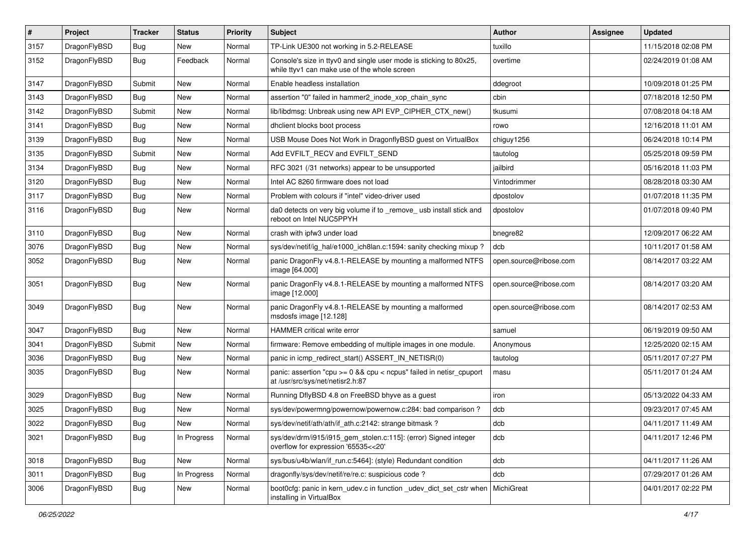| $\sharp$ | Project      | <b>Tracker</b> | <b>Status</b> | <b>Priority</b> | <b>Subject</b>                                                                                                     | Author                 | Assignee | <b>Updated</b>      |
|----------|--------------|----------------|---------------|-----------------|--------------------------------------------------------------------------------------------------------------------|------------------------|----------|---------------------|
| 3157     | DragonFlyBSD | <b>Bug</b>     | New           | Normal          | TP-Link UE300 not working in 5.2-RELEASE                                                                           | tuxillo                |          | 11/15/2018 02:08 PM |
| 3152     | DragonFlyBSD | Bug            | Feedback      | Normal          | Console's size in ttyv0 and single user mode is sticking to 80x25,<br>while ttyv1 can make use of the whole screen | overtime               |          | 02/24/2019 01:08 AM |
| 3147     | DragonFlyBSD | Submit         | New           | Normal          | Enable headless installation                                                                                       | ddegroot               |          | 10/09/2018 01:25 PM |
| 3143     | DragonFlyBSD | Bug            | <b>New</b>    | Normal          | assertion "0" failed in hammer2_inode_xop_chain_sync                                                               | cbin                   |          | 07/18/2018 12:50 PM |
| 3142     | DragonFlyBSD | Submit         | New           | Normal          | lib/libdmsg: Unbreak using new API EVP CIPHER CTX new()                                                            | tkusumi                |          | 07/08/2018 04:18 AM |
| 3141     | DragonFlyBSD | Bug            | New           | Normal          | dhclient blocks boot process                                                                                       | rowo                   |          | 12/16/2018 11:01 AM |
| 3139     | DragonFlyBSD | Bug            | New           | Normal          | USB Mouse Does Not Work in DragonflyBSD guest on VirtualBox                                                        | chiguy1256             |          | 06/24/2018 10:14 PM |
| 3135     | DragonFlyBSD | Submit         | New           | Normal          | Add EVFILT_RECV and EVFILT_SEND                                                                                    | tautolog               |          | 05/25/2018 09:59 PM |
| 3134     | DragonFlyBSD | Bug            | <b>New</b>    | Normal          | RFC 3021 (/31 networks) appear to be unsupported                                                                   | jailbird               |          | 05/16/2018 11:03 PM |
| 3120     | DragonFlyBSD | Bug            | New           | Normal          | Intel AC 8260 firmware does not load                                                                               | Vintodrimmer           |          | 08/28/2018 03:30 AM |
| 3117     | DragonFlyBSD | Bug            | New           | Normal          | Problem with colours if "intel" video-driver used                                                                  | dpostolov              |          | 01/07/2018 11:35 PM |
| 3116     | DragonFlyBSD | Bug            | New           | Normal          | da0 detects on very big volume if to _remove_ usb install stick and<br>reboot on Intel NUC5PPYH                    | dpostolov              |          | 01/07/2018 09:40 PM |
| 3110     | DragonFlyBSD | Bug            | <b>New</b>    | Normal          | crash with ipfw3 under load                                                                                        | bnegre82               |          | 12/09/2017 06:22 AM |
| 3076     | DragonFlyBSD | Bug            | New           | Normal          | sys/dev/netif/ig_hal/e1000_ich8lan.c:1594: sanity checking mixup?                                                  | dcb                    |          | 10/11/2017 01:58 AM |
| 3052     | DragonFlyBSD | Bug            | New           | Normal          | panic DragonFly v4.8.1-RELEASE by mounting a malformed NTFS<br>image [64.000]                                      | open.source@ribose.com |          | 08/14/2017 03:22 AM |
| 3051     | DragonFlyBSD | Bug            | <b>New</b>    | Normal          | panic DragonFly v4.8.1-RELEASE by mounting a malformed NTFS<br>image [12.000]                                      | open.source@ribose.com |          | 08/14/2017 03:20 AM |
| 3049     | DragonFlyBSD | Bug            | New           | Normal          | panic DragonFly v4.8.1-RELEASE by mounting a malformed<br>msdosfs image [12.128]                                   | open.source@ribose.com |          | 08/14/2017 02:53 AM |
| 3047     | DragonFlyBSD | Bug            | <b>New</b>    | Normal          | HAMMER critical write error                                                                                        | samuel                 |          | 06/19/2019 09:50 AM |
| 3041     | DragonFlyBSD | Submit         | New           | Normal          | firmware: Remove embedding of multiple images in one module.                                                       | Anonymous              |          | 12/25/2020 02:15 AM |
| 3036     | DragonFlyBSD | Bug            | New           | Normal          | panic in icmp_redirect_start() ASSERT_IN_NETISR(0)                                                                 | tautolog               |          | 05/11/2017 07:27 PM |
| 3035     | DragonFlyBSD | Bug            | New           | Normal          | panic: assertion "cpu >= 0 && cpu < ncpus" failed in netisr_cpuport<br>at /usr/src/sys/net/netisr2.h:87            | masu                   |          | 05/11/2017 01:24 AM |
| 3029     | DragonFlyBSD | Bug            | New           | Normal          | Running DflyBSD 4.8 on FreeBSD bhyve as a guest                                                                    | iron                   |          | 05/13/2022 04:33 AM |
| 3025     | DragonFlyBSD | Bug            | <b>New</b>    | Normal          | sys/dev/powermng/powernow/powernow.c:284: bad comparison ?                                                         | dcb                    |          | 09/23/2017 07:45 AM |
| 3022     | DragonFlyBSD | Bug            | <b>New</b>    | Normal          | sys/dev/netif/ath/ath/if ath.c:2142: strange bitmask?                                                              | dcb                    |          | 04/11/2017 11:49 AM |
| 3021     | DragonFlyBSD | Bug            | In Progress   | Normal          | sys/dev/drm/i915/i915_gem_stolen.c:115]: (error) Signed integer<br>overflow for expression '65535<<20'             | dcb                    |          | 04/11/2017 12:46 PM |
| 3018     | DragonFlyBSD | <b>Bug</b>     | New           | Normal          | sys/bus/u4b/wlan/if_run.c:5464]: (style) Redundant condition                                                       | dcb                    |          | 04/11/2017 11:26 AM |
| 3011     | DragonFlyBSD | Bug            | In Progress   | Normal          | dragonfly/sys/dev/netif/re/re.c: suspicious code?                                                                  | dcb                    |          | 07/29/2017 01:26 AM |
| 3006     | DragonFlyBSD | <b>Bug</b>     | New           | Normal          | boot0cfg: panic in kern_udev.c in function _udev_dict_set_cstr when<br>installing in VirtualBox                    | MichiGreat             |          | 04/01/2017 02:22 PM |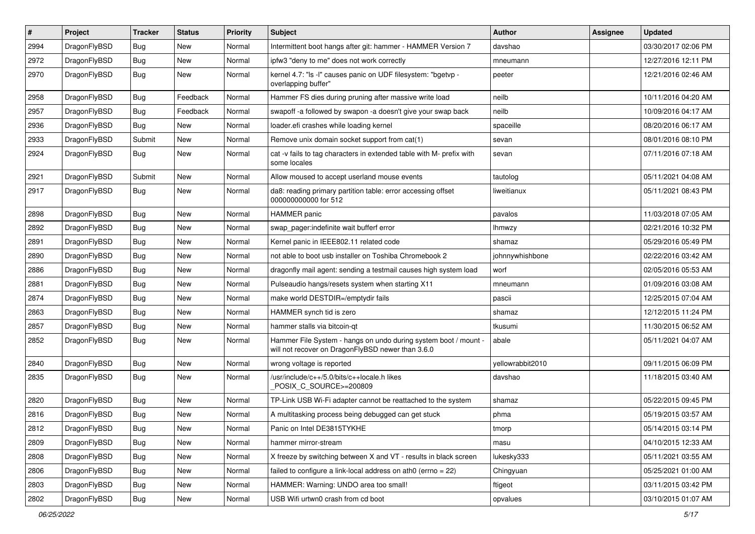| $\vert$ # | Project      | <b>Tracker</b> | <b>Status</b> | <b>Priority</b> | <b>Subject</b>                                                                                                       | <b>Author</b>    | <b>Assignee</b> | <b>Updated</b>      |
|-----------|--------------|----------------|---------------|-----------------|----------------------------------------------------------------------------------------------------------------------|------------------|-----------------|---------------------|
| 2994      | DragonFlyBSD | Bug            | New           | Normal          | Intermittent boot hangs after git: hammer - HAMMER Version 7                                                         | davshao          |                 | 03/30/2017 02:06 PM |
| 2972      | DragonFlyBSD | Bug            | <b>New</b>    | Normal          | ipfw3 "deny to me" does not work correctly                                                                           | mneumann         |                 | 12/27/2016 12:11 PM |
| 2970      | DragonFlyBSD | Bug            | <b>New</b>    | Normal          | kernel 4.7: "Is -I" causes panic on UDF filesystem: "bgetvp -<br>overlapping buffer"                                 | peeter           |                 | 12/21/2016 02:46 AM |
| 2958      | DragonFlyBSD | Bug            | Feedback      | Normal          | Hammer FS dies during pruning after massive write load                                                               | neilb            |                 | 10/11/2016 04:20 AM |
| 2957      | DragonFlyBSD | Bug            | Feedback      | Normal          | swapoff -a followed by swapon -a doesn't give your swap back                                                         | neilb            |                 | 10/09/2016 04:17 AM |
| 2936      | DragonFlyBSD | Bug            | <b>New</b>    | Normal          | loader.efi crashes while loading kernel                                                                              | spaceille        |                 | 08/20/2016 06:17 AM |
| 2933      | DragonFlyBSD | Submit         | <b>New</b>    | Normal          | Remove unix domain socket support from cat(1)                                                                        | sevan            |                 | 08/01/2016 08:10 PM |
| 2924      | DragonFlyBSD | Bug            | <b>New</b>    | Normal          | cat -v fails to tag characters in extended table with M- prefix with<br>some locales                                 | sevan            |                 | 07/11/2016 07:18 AM |
| 2921      | DragonFlyBSD | Submit         | <b>New</b>    | Normal          | Allow moused to accept userland mouse events                                                                         | tautolog         |                 | 05/11/2021 04:08 AM |
| 2917      | DragonFlyBSD | Bug            | New           | Normal          | da8: reading primary partition table: error accessing offset<br>000000000000 for 512                                 | liweitianux      |                 | 05/11/2021 08:43 PM |
| 2898      | DragonFlyBSD | Bug            | <b>New</b>    | Normal          | <b>HAMMER</b> panic                                                                                                  | pavalos          |                 | 11/03/2018 07:05 AM |
| 2892      | DragonFlyBSD | Bug            | New           | Normal          | swap pager:indefinite wait bufferf error                                                                             | <b>Ihmwzy</b>    |                 | 02/21/2016 10:32 PM |
| 2891      | DragonFlyBSD | Bug            | New           | Normal          | Kernel panic in IEEE802.11 related code                                                                              | shamaz           |                 | 05/29/2016 05:49 PM |
| 2890      | DragonFlyBSD | Bug            | <b>New</b>    | Normal          | not able to boot usb installer on Toshiba Chromebook 2                                                               | johnnywhishbone  |                 | 02/22/2016 03:42 AM |
| 2886      | DragonFlyBSD | Bug            | New           | Normal          | dragonfly mail agent: sending a testmail causes high system load                                                     | worf             |                 | 02/05/2016 05:53 AM |
| 2881      | DragonFlyBSD | Bug            | <b>New</b>    | Normal          | Pulseaudio hangs/resets system when starting X11                                                                     | mneumann         |                 | 01/09/2016 03:08 AM |
| 2874      | DragonFlyBSD | Bug            | New           | Normal          | make world DESTDIR=/emptydir fails                                                                                   | pascii           |                 | 12/25/2015 07:04 AM |
| 2863      | DragonFlyBSD | Bug            | <b>New</b>    | Normal          | HAMMER synch tid is zero                                                                                             | shamaz           |                 | 12/12/2015 11:24 PM |
| 2857      | DragonFlyBSD | <b>Bug</b>     | New           | Normal          | hammer stalls via bitcoin-qt                                                                                         | tkusumi          |                 | 11/30/2015 06:52 AM |
| 2852      | DragonFlyBSD | Bug            | New           | Normal          | Hammer File System - hangs on undo during system boot / mount -<br>will not recover on DragonFlyBSD newer than 3.6.0 | abale            |                 | 05/11/2021 04:07 AM |
| 2840      | DragonFlyBSD | Bug            | <b>New</b>    | Normal          | wrong voltage is reported                                                                                            | yellowrabbit2010 |                 | 09/11/2015 06:09 PM |
| 2835      | DragonFlyBSD | <b>Bug</b>     | New           | Normal          | /usr/include/c++/5.0/bits/c++locale.h likes<br>POSIX_C_SOURCE>=200809                                                | davshao          |                 | 11/18/2015 03:40 AM |
| 2820      | DragonFlyBSD | Bug            | New           | Normal          | TP-Link USB Wi-Fi adapter cannot be reattached to the system                                                         | shamaz           |                 | 05/22/2015 09:45 PM |
| 2816      | DragonFlyBSD | Bug            | New           | Normal          | A multitasking process being debugged can get stuck                                                                  | phma             |                 | 05/19/2015 03:57 AM |
| 2812      | DragonFlyBSD | Bug            | <b>New</b>    | Normal          | Panic on Intel DE3815TYKHE                                                                                           | tmorp            |                 | 05/14/2015 03:14 PM |
| 2809      | DragonFlyBSD | Bug            | <b>New</b>    | Normal          | hammer mirror-stream                                                                                                 | masu             |                 | 04/10/2015 12:33 AM |
| 2808      | DragonFlyBSD | <b>Bug</b>     | New           | Normal          | X freeze by switching between X and VT - results in black screen                                                     | lukesky333       |                 | 05/11/2021 03:55 AM |
| 2806      | DragonFlyBSD | <b>Bug</b>     | New           | Normal          | failed to configure a link-local address on ath $0$ (errno = 22)                                                     | Chingyuan        |                 | 05/25/2021 01:00 AM |
| 2803      | DragonFlyBSD | <b>Bug</b>     | New           | Normal          | HAMMER: Warning: UNDO area too small!                                                                                | ftigeot          |                 | 03/11/2015 03:42 PM |
| 2802      | DragonFlyBSD | <b>Bug</b>     | New           | Normal          | USB Wifi urtwn0 crash from cd boot                                                                                   | opvalues         |                 | 03/10/2015 01:07 AM |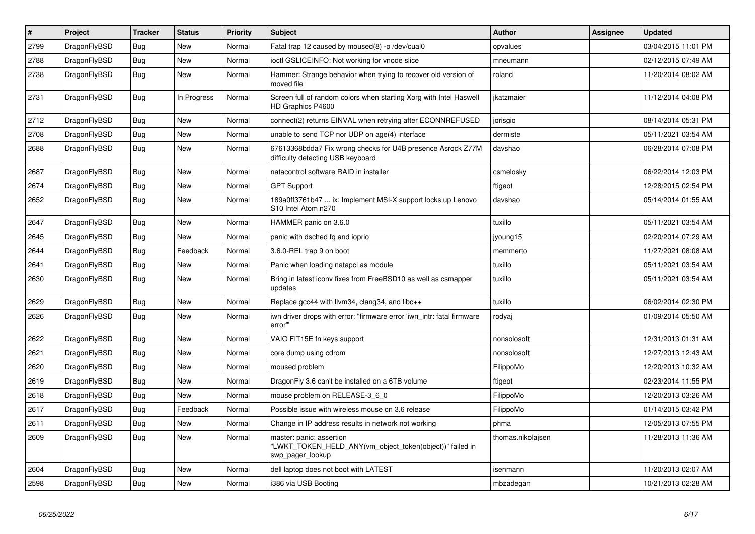| $\vert$ # | Project      | <b>Tracker</b> | <b>Status</b> | <b>Priority</b> | <b>Subject</b>                                                                                             | <b>Author</b>     | Assignee | <b>Updated</b>      |
|-----------|--------------|----------------|---------------|-----------------|------------------------------------------------------------------------------------------------------------|-------------------|----------|---------------------|
| 2799      | DragonFlyBSD | Bug            | New           | Normal          | Fatal trap 12 caused by moused(8) -p/dev/cual0                                                             | opvalues          |          | 03/04/2015 11:01 PM |
| 2788      | DragonFlyBSD | <b>Bug</b>     | <b>New</b>    | Normal          | ioctl GSLICEINFO: Not working for vnode slice                                                              | mneumann          |          | 02/12/2015 07:49 AM |
| 2738      | DragonFlyBSD | <b>Bug</b>     | New           | Normal          | Hammer: Strange behavior when trying to recover old version of<br>moved file                               | roland            |          | 11/20/2014 08:02 AM |
| 2731      | DragonFlyBSD | <b>Bug</b>     | In Progress   | Normal          | Screen full of random colors when starting Xorg with Intel Haswell<br>HD Graphics P4600                    | jkatzmaier        |          | 11/12/2014 04:08 PM |
| 2712      | DragonFlyBSD | <b>Bug</b>     | <b>New</b>    | Normal          | connect(2) returns EINVAL when retrying after ECONNREFUSED                                                 | jorisgio          |          | 08/14/2014 05:31 PM |
| 2708      | DragonFlyBSD | <b>Bug</b>     | <b>New</b>    | Normal          | unable to send TCP nor UDP on age(4) interface                                                             | dermiste          |          | 05/11/2021 03:54 AM |
| 2688      | DragonFlyBSD | <b>Bug</b>     | New           | Normal          | 67613368bdda7 Fix wrong checks for U4B presence Asrock Z77M<br>difficulty detecting USB keyboard           | davshao           |          | 06/28/2014 07:08 PM |
| 2687      | DragonFlyBSD | <b>Bug</b>     | <b>New</b>    | Normal          | natacontrol software RAID in installer                                                                     | csmelosky         |          | 06/22/2014 12:03 PM |
| 2674      | DragonFlyBSD | <b>Bug</b>     | <b>New</b>    | Normal          | <b>GPT Support</b>                                                                                         | ftigeot           |          | 12/28/2015 02:54 PM |
| 2652      | DragonFlyBSD | Bug            | <b>New</b>    | Normal          | 189a0ff3761b47  ix: Implement MSI-X support locks up Lenovo<br>S <sub>10</sub> Intel Atom n <sub>270</sub> | davshao           |          | 05/14/2014 01:55 AM |
| 2647      | DragonFlyBSD | <b>Bug</b>     | <b>New</b>    | Normal          | HAMMER panic on 3.6.0                                                                                      | tuxillo           |          | 05/11/2021 03:54 AM |
| 2645      | DragonFlyBSD | <b>Bug</b>     | New           | Normal          | panic with dsched fq and ioprio                                                                            | jyoung15          |          | 02/20/2014 07:29 AM |
| 2644      | DragonFlyBSD | <b>Bug</b>     | Feedback      | Normal          | 3.6.0-REL trap 9 on boot                                                                                   | memmerto          |          | 11/27/2021 08:08 AM |
| 2641      | DragonFlyBSD | <b>Bug</b>     | <b>New</b>    | Normal          | Panic when loading natapci as module                                                                       | tuxillo           |          | 05/11/2021 03:54 AM |
| 2630      | DragonFlyBSD | <b>Bug</b>     | New           | Normal          | Bring in latest iconv fixes from FreeBSD10 as well as csmapper<br>updates                                  | tuxillo           |          | 05/11/2021 03:54 AM |
| 2629      | DragonFlyBSD | <b>Bug</b>     | New           | Normal          | Replace gcc44 with llvm34, clang34, and libc++                                                             | tuxillo           |          | 06/02/2014 02:30 PM |
| 2626      | DragonFlyBSD | Bug            | New           | Normal          | iwn driver drops with error: "firmware error 'iwn_intr: fatal firmware<br>error"                           | rodyaj            |          | 01/09/2014 05:50 AM |
| 2622      | DragonFlyBSD | <b>Bug</b>     | New           | Normal          | VAIO FIT15E fn keys support                                                                                | nonsolosoft       |          | 12/31/2013 01:31 AM |
| 2621      | DragonFlyBSD | <b>Bug</b>     | New           | Normal          | core dump using cdrom                                                                                      | nonsolosoft       |          | 12/27/2013 12:43 AM |
| 2620      | DragonFlyBSD | <b>Bug</b>     | New           | Normal          | moused problem                                                                                             | FilippoMo         |          | 12/20/2013 10:32 AM |
| 2619      | DragonFlyBSD | Bug            | New           | Normal          | Dragon Fly 3.6 can't be installed on a 6TB volume                                                          | ftigeot           |          | 02/23/2014 11:55 PM |
| 2618      | DragonFlyBSD | Bug            | New           | Normal          | mouse problem on RELEASE-3 6 0                                                                             | FilippoMo         |          | 12/20/2013 03:26 AM |
| 2617      | DragonFlyBSD | Bug            | Feedback      | Normal          | Possible issue with wireless mouse on 3.6 release                                                          | FilippoMo         |          | 01/14/2015 03:42 PM |
| 2611      | DragonFlyBSD | <b>Bug</b>     | <b>New</b>    | Normal          | Change in IP address results in network not working                                                        | phma              |          | 12/05/2013 07:55 PM |
| 2609      | DragonFlyBSD | <b>Bug</b>     | New           | Normal          | master: panic: assertion<br>"LWKT TOKEN HELD ANY(vm object token(object))" failed in<br>swp pager lookup   | thomas.nikolajsen |          | 11/28/2013 11:36 AM |
| 2604      | DragonFlyBSD | Bug            | <b>New</b>    | Normal          | dell laptop does not boot with LATEST                                                                      | isenmann          |          | 11/20/2013 02:07 AM |
| 2598      | DragonFlyBSD | Bug            | <b>New</b>    | Normal          | i386 via USB Booting                                                                                       | mbzadegan         |          | 10/21/2013 02:28 AM |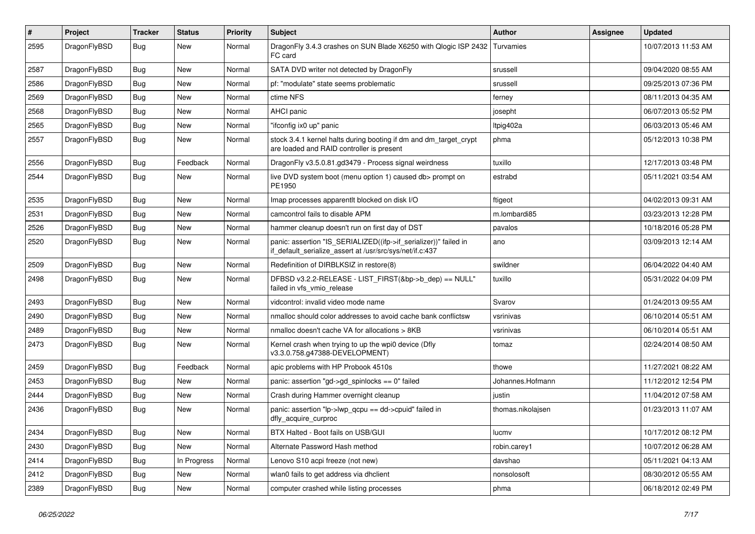| #    | Project      | <b>Tracker</b> | <b>Status</b> | <b>Priority</b> | Subject                                                                                                                      | Author            | Assignee | <b>Updated</b>      |
|------|--------------|----------------|---------------|-----------------|------------------------------------------------------------------------------------------------------------------------------|-------------------|----------|---------------------|
| 2595 | DragonFlyBSD | <b>Bug</b>     | New           | Normal          | DragonFly 3.4.3 crashes on SUN Blade X6250 with Qlogic ISP 2432<br>FC card                                                   | Turvamies         |          | 10/07/2013 11:53 AM |
| 2587 | DragonFlyBSD | <b>Bug</b>     | <b>New</b>    | Normal          | SATA DVD writer not detected by DragonFly                                                                                    | srussell          |          | 09/04/2020 08:55 AM |
| 2586 | DragonFlyBSD | Bug            | <b>New</b>    | Normal          | pf: "modulate" state seems problematic                                                                                       | srussell          |          | 09/25/2013 07:36 PM |
| 2569 | DragonFlyBSD | Bug            | <b>New</b>    | Normal          | ctime NFS                                                                                                                    | ferney            |          | 08/11/2013 04:35 AM |
| 2568 | DragonFlyBSD | <b>Bug</b>     | New           | Normal          | <b>AHCI</b> panic                                                                                                            | josepht           |          | 06/07/2013 05:52 PM |
| 2565 | DragonFlyBSD | <b>Bug</b>     | <b>New</b>    | Normal          | "ifconfig ix0 up" panic                                                                                                      | ltpig402a         |          | 06/03/2013 05:46 AM |
| 2557 | DragonFlyBSD | <b>Bug</b>     | New           | Normal          | stock 3.4.1 kernel halts during booting if dm and dm_target_crypt<br>are loaded and RAID controller is present               | phma              |          | 05/12/2013 10:38 PM |
| 2556 | DragonFlyBSD | Bug            | Feedback      | Normal          | DragonFly v3.5.0.81.gd3479 - Process signal weirdness                                                                        | tuxillo           |          | 12/17/2013 03:48 PM |
| 2544 | DragonFlyBSD | <b>Bug</b>     | <b>New</b>    | Normal          | live DVD system boot (menu option 1) caused db> prompt on<br>PE1950                                                          | estrabd           |          | 05/11/2021 03:54 AM |
| 2535 | DragonFlyBSD | <b>Bug</b>     | <b>New</b>    | Normal          | Imap processes apparentlt blocked on disk I/O                                                                                | ftigeot           |          | 04/02/2013 09:31 AM |
| 2531 | DragonFlyBSD | <b>Bug</b>     | New           | Normal          | camcontrol fails to disable APM                                                                                              | m.lombardi85      |          | 03/23/2013 12:28 PM |
| 2526 | DragonFlyBSD | <b>Bug</b>     | <b>New</b>    | Normal          | hammer cleanup doesn't run on first day of DST                                                                               | pavalos           |          | 10/18/2016 05:28 PM |
| 2520 | DragonFlyBSD | <b>Bug</b>     | New           | Normal          | panic: assertion "IS_SERIALIZED((ifp->if_serializer))" failed in<br>if_default_serialize_assert at /usr/src/sys/net/if.c:437 | ano               |          | 03/09/2013 12:14 AM |
| 2509 | DragonFlyBSD | <b>Bug</b>     | <b>New</b>    | Normal          | Redefinition of DIRBLKSIZ in restore(8)                                                                                      | swildner          |          | 06/04/2022 04:40 AM |
| 2498 | DragonFlyBSD | <b>Bug</b>     | New           | Normal          | DFBSD v3.2.2-RELEASE - LIST_FIRST(&bp->b_dep) == NULL"<br>failed in vfs vmio release                                         | tuxillo           |          | 05/31/2022 04:09 PM |
| 2493 | DragonFlyBSD | Bug            | <b>New</b>    | Normal          | vidcontrol: invalid video mode name                                                                                          | Svarov            |          | 01/24/2013 09:55 AM |
| 2490 | DragonFlyBSD | <b>Bug</b>     | New           | Normal          | nmalloc should color addresses to avoid cache bank conflictsw                                                                | vsrinivas         |          | 06/10/2014 05:51 AM |
| 2489 | DragonFlyBSD | <b>Bug</b>     | <b>New</b>    | Normal          | nmalloc doesn't cache VA for allocations > 8KB                                                                               | vsrinivas         |          | 06/10/2014 05:51 AM |
| 2473 | DragonFlyBSD | Bug            | New           | Normal          | Kernel crash when trying to up the wpi0 device (Dfly<br>v3.3.0.758.g47388-DEVELOPMENT)                                       | tomaz             |          | 02/24/2014 08:50 AM |
| 2459 | DragonFlyBSD | <b>Bug</b>     | Feedback      | Normal          | apic problems with HP Probook 4510s                                                                                          | thowe             |          | 11/27/2021 08:22 AM |
| 2453 | DragonFlyBSD | <b>Bug</b>     | <b>New</b>    | Normal          | panic: assertion "gd->gd_spinlocks == 0" failed                                                                              | Johannes.Hofmann  |          | 11/12/2012 12:54 PM |
| 2444 | DragonFlyBSD | Bug            | New           | Normal          | Crash during Hammer overnight cleanup                                                                                        | justin            |          | 11/04/2012 07:58 AM |
| 2436 | DragonFlyBSD | Bug            | New           | Normal          | panic: assertion "lp->lwp_qcpu == dd->cpuid" failed in<br>dfly_acquire_curproc                                               | thomas.nikolajsen |          | 01/23/2013 11:07 AM |
| 2434 | DragonFlyBSD | Bug            | New           | Normal          | BTX Halted - Boot fails on USB/GUI                                                                                           | lucmv             |          | 10/17/2012 08:12 PM |
| 2430 | DragonFlyBSD | <b>Bug</b>     | New           | Normal          | Alternate Password Hash method                                                                                               | robin.carey1      |          | 10/07/2012 06:28 AM |
| 2414 | DragonFlyBSD | Bug            | In Progress   | Normal          | Lenovo S10 acpi freeze (not new)                                                                                             | davshao           |          | 05/11/2021 04:13 AM |
| 2412 | DragonFlyBSD | Bug            | New           | Normal          | wlan0 fails to get address via dhclient                                                                                      | nonsolosoft       |          | 08/30/2012 05:55 AM |
| 2389 | DragonFlyBSD | <b>Bug</b>     | New           | Normal          | computer crashed while listing processes                                                                                     | phma              |          | 06/18/2012 02:49 PM |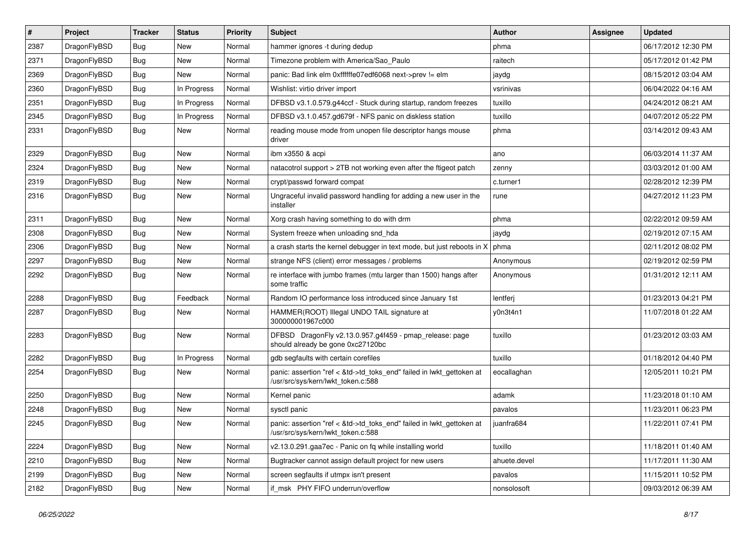| $\sharp$ | Project      | <b>Tracker</b> | <b>Status</b> | <b>Priority</b> | <b>Subject</b>                                                                                             | Author       | Assignee | <b>Updated</b>      |
|----------|--------------|----------------|---------------|-----------------|------------------------------------------------------------------------------------------------------------|--------------|----------|---------------------|
| 2387     | DragonFlyBSD | Bug            | New           | Normal          | hammer ignores -t during dedup                                                                             | phma         |          | 06/17/2012 12:30 PM |
| 2371     | DragonFlyBSD | Bug            | New           | Normal          | Timezone problem with America/Sao_Paulo                                                                    | raitech      |          | 05/17/2012 01:42 PM |
| 2369     | DragonFlyBSD | Bug            | New           | Normal          | panic: Bad link elm 0xffffffe07edf6068 next->prev != elm                                                   | jaydg        |          | 08/15/2012 03:04 AM |
| 2360     | DragonFlyBSD | Bug            | In Progress   | Normal          | Wishlist: virtio driver import                                                                             | vsrinivas    |          | 06/04/2022 04:16 AM |
| 2351     | DragonFlyBSD | Bug            | In Progress   | Normal          | DFBSD v3.1.0.579.g44ccf - Stuck during startup, random freezes                                             | tuxillo      |          | 04/24/2012 08:21 AM |
| 2345     | DragonFlyBSD | Bug            | In Progress   | Normal          | DFBSD v3.1.0.457.gd679f - NFS panic on diskless station                                                    | tuxillo      |          | 04/07/2012 05:22 PM |
| 2331     | DragonFlyBSD | Bug            | New           | Normal          | reading mouse mode from unopen file descriptor hangs mouse<br>driver                                       | phma         |          | 03/14/2012 09:43 AM |
| 2329     | DragonFlyBSD | Bug            | New           | Normal          | ibm x3550 & acpi                                                                                           | ano          |          | 06/03/2014 11:37 AM |
| 2324     | DragonFlyBSD | Bug            | <b>New</b>    | Normal          | natacotrol support > 2TB not working even after the ftigeot patch                                          | zenny        |          | 03/03/2012 01:00 AM |
| 2319     | DragonFlyBSD | <b>Bug</b>     | New           | Normal          | crypt/passwd forward compat                                                                                | c.turner1    |          | 02/28/2012 12:39 PM |
| 2316     | DragonFlyBSD | <b>Bug</b>     | <b>New</b>    | Normal          | Ungraceful invalid password handling for adding a new user in the<br>installer                             | rune         |          | 04/27/2012 11:23 PM |
| 2311     | DragonFlyBSD | <b>Bug</b>     | New           | Normal          | Xorg crash having something to do with drm                                                                 | phma         |          | 02/22/2012 09:59 AM |
| 2308     | DragonFlyBSD | <b>Bug</b>     | New           | Normal          | System freeze when unloading snd_hda                                                                       | jaydg        |          | 02/19/2012 07:15 AM |
| 2306     | DragonFlyBSD | <b>Bug</b>     | New           | Normal          | a crash starts the kernel debugger in text mode, but just reboots in X                                     | phma         |          | 02/11/2012 08:02 PM |
| 2297     | DragonFlyBSD | <b>Bug</b>     | New           | Normal          | strange NFS (client) error messages / problems                                                             | Anonymous    |          | 02/19/2012 02:59 PM |
| 2292     | DragonFlyBSD | <b>Bug</b>     | New           | Normal          | re interface with jumbo frames (mtu larger than 1500) hangs after<br>some traffic                          | Anonymous    |          | 01/31/2012 12:11 AM |
| 2288     | DragonFlyBSD | <b>Bug</b>     | Feedback      | Normal          | Random IO performance loss introduced since January 1st                                                    | lentferj     |          | 01/23/2013 04:21 PM |
| 2287     | DragonFlyBSD | <b>Bug</b>     | New           | Normal          | HAMMER(ROOT) Illegal UNDO TAIL signature at<br>300000001967c000                                            | y0n3t4n1     |          | 11/07/2018 01:22 AM |
| 2283     | DragonFlyBSD | <b>Bug</b>     | New           | Normal          | DFBSD DragonFly v2.13.0.957.g4f459 - pmap_release: page<br>should already be gone 0xc27120bc               | tuxillo      |          | 01/23/2012 03:03 AM |
| 2282     | DragonFlyBSD | <b>Bug</b>     | In Progress   | Normal          | gdb segfaults with certain corefiles                                                                       | tuxillo      |          | 01/18/2012 04:40 PM |
| 2254     | DragonFlyBSD | <b>Bug</b>     | New           | Normal          | panic: assertion "ref < &td->td_toks_end" failed in lwkt_gettoken at<br>/usr/src/sys/kern/lwkt_token.c:588 | eocallaghan  |          | 12/05/2011 10:21 PM |
| 2250     | DragonFlyBSD | <b>Bug</b>     | New           | Normal          | Kernel panic                                                                                               | adamk        |          | 11/23/2018 01:10 AM |
| 2248     | DragonFlyBSD | <b>Bug</b>     | <b>New</b>    | Normal          | sysctl panic                                                                                               | pavalos      |          | 11/23/2011 06:23 PM |
| 2245     | DragonFlyBSD | Bug            | <b>New</b>    | Normal          | panic: assertion "ref < &td->td toks end" failed in lwkt gettoken at<br>/usr/src/sys/kern/lwkt_token.c:588 | juanfra684   |          | 11/22/2011 07:41 PM |
| 2224     | DragonFlyBSD | <b>Bug</b>     | <b>New</b>    | Normal          | v2.13.0.291.gaa7ec - Panic on fq while installing world                                                    | tuxillo      |          | 11/18/2011 01:40 AM |
| 2210     | DragonFlyBSD | <b>Bug</b>     | New           | Normal          | Bugtracker cannot assign default project for new users                                                     | ahuete.devel |          | 11/17/2011 11:30 AM |
| 2199     | DragonFlyBSD | <b>Bug</b>     | <b>New</b>    | Normal          | screen segfaults if utmpx isn't present                                                                    | pavalos      |          | 11/15/2011 10:52 PM |
| 2182     | DragonFlyBSD | <b>Bug</b>     | New           | Normal          | if_msk PHY FIFO underrun/overflow                                                                          | nonsolosoft  |          | 09/03/2012 06:39 AM |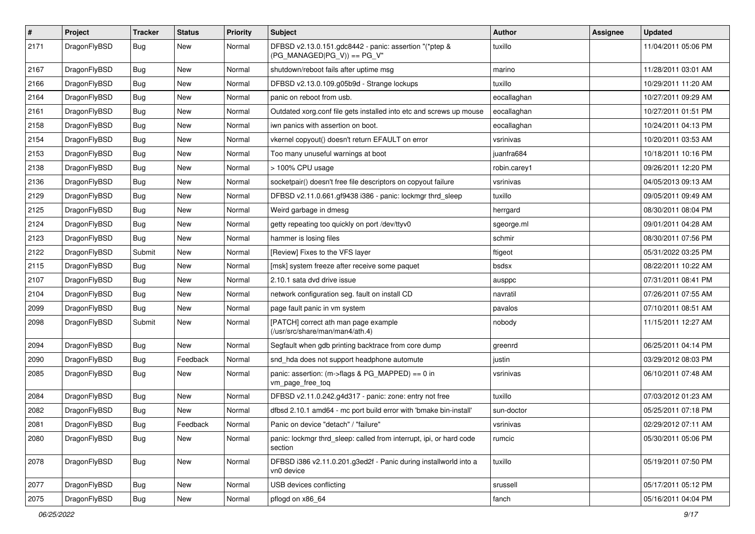| $\pmb{\#}$ | Project      | <b>Tracker</b> | <b>Status</b> | <b>Priority</b> | Subject                                                                                 | Author       | Assignee | <b>Updated</b>      |
|------------|--------------|----------------|---------------|-----------------|-----------------------------------------------------------------------------------------|--------------|----------|---------------------|
| 2171       | DragonFlyBSD | Bug            | New           | Normal          | DFBSD v2.13.0.151.gdc8442 - panic: assertion "(*ptep &<br>$(PG_MANAGED PG_V)) == PG_V"$ | tuxillo      |          | 11/04/2011 05:06 PM |
| 2167       | DragonFlyBSD | <b>Bug</b>     | <b>New</b>    | Normal          | shutdown/reboot fails after uptime msg                                                  | marino       |          | 11/28/2011 03:01 AM |
| 2166       | DragonFlyBSD | Bug            | New           | Normal          | DFBSD v2.13.0.109.g05b9d - Strange lockups                                              | tuxillo      |          | 10/29/2011 11:20 AM |
| 2164       | DragonFlyBSD | Bug            | <b>New</b>    | Normal          | panic on reboot from usb.                                                               | eocallaghan  |          | 10/27/2011 09:29 AM |
| 2161       | DragonFlyBSD | Bug            | New           | Normal          | Outdated xorg.conf file gets installed into etc and screws up mouse                     | eocallaghan  |          | 10/27/2011 01:51 PM |
| 2158       | DragonFlyBSD | Bug            | New           | Normal          | iwn panics with assertion on boot.                                                      | eocallaghan  |          | 10/24/2011 04:13 PM |
| 2154       | DragonFlyBSD | Bug            | New           | Normal          | vkernel copyout() doesn't return EFAULT on error                                        | vsrinivas    |          | 10/20/2011 03:53 AM |
| 2153       | DragonFlyBSD | Bug            | New           | Normal          | Too many unuseful warnings at boot                                                      | juanfra684   |          | 10/18/2011 10:16 PM |
| 2138       | DragonFlyBSD | Bug            | <b>New</b>    | Normal          | > 100% CPU usage                                                                        | robin.carey1 |          | 09/26/2011 12:20 PM |
| 2136       | DragonFlyBSD | Bug            | New           | Normal          | socketpair() doesn't free file descriptors on copyout failure                           | vsrinivas    |          | 04/05/2013 09:13 AM |
| 2129       | DragonFlyBSD | Bug            | New           | Normal          | DFBSD v2.11.0.661.gf9438 i386 - panic: lockmgr thrd_sleep                               | tuxillo      |          | 09/05/2011 09:49 AM |
| 2125       | DragonFlyBSD | Bug            | New           | Normal          | Weird garbage in dmesg                                                                  | herrgard     |          | 08/30/2011 08:04 PM |
| 2124       | DragonFlyBSD | Bug            | New           | Normal          | getty repeating too quickly on port /dev/ttyv0                                          | sgeorge.ml   |          | 09/01/2011 04:28 AM |
| 2123       | DragonFlyBSD | Bug            | New           | Normal          | hammer is losing files                                                                  | schmir       |          | 08/30/2011 07:56 PM |
| 2122       | DragonFlyBSD | Submit         | New           | Normal          | [Review] Fixes to the VFS layer                                                         | ftigeot      |          | 05/31/2022 03:25 PM |
| 2115       | DragonFlyBSD | Bug            | New           | Normal          | [msk] system freeze after receive some paquet                                           | bsdsx        |          | 08/22/2011 10:22 AM |
| 2107       | DragonFlyBSD | <b>Bug</b>     | <b>New</b>    | Normal          | 2.10.1 sata dvd drive issue                                                             | ausppc       |          | 07/31/2011 08:41 PM |
| 2104       | DragonFlyBSD | Bug            | New           | Normal          | network configuration seg. fault on install CD                                          | navratil     |          | 07/26/2011 07:55 AM |
| 2099       | DragonFlyBSD | Bug            | <b>New</b>    | Normal          | page fault panic in vm system                                                           | pavalos      |          | 07/10/2011 08:51 AM |
| 2098       | DragonFlyBSD | Submit         | New           | Normal          | [PATCH] correct ath man page example<br>(/usr/src/share/man/man4/ath.4)                 | nobody       |          | 11/15/2011 12:27 AM |
| 2094       | DragonFlyBSD | Bug            | New           | Normal          | Segfault when gdb printing backtrace from core dump                                     | greenrd      |          | 06/25/2011 04:14 PM |
| 2090       | DragonFlyBSD | Bug            | Feedback      | Normal          | snd_hda does not support headphone automute                                             | justin       |          | 03/29/2012 08:03 PM |
| 2085       | DragonFlyBSD | Bug            | New           | Normal          | panic: assertion: (m->flags & PG_MAPPED) == 0 in<br>vm_page_free_toq                    | vsrinivas    |          | 06/10/2011 07:48 AM |
| 2084       | DragonFlyBSD | Bug            | New           | Normal          | DFBSD v2.11.0.242.g4d317 - panic: zone: entry not free                                  | tuxillo      |          | 07/03/2012 01:23 AM |
| 2082       | DragonFlyBSD | Bug            | New           | Normal          | dfbsd 2.10.1 amd64 - mc port build error with 'bmake bin-install'                       | sun-doctor   |          | 05/25/2011 07:18 PM |
| 2081       | DragonFlyBSD | Bug            | Feedback      | Normal          | Panic on device "detach" / "failure"                                                    | vsrinivas    |          | 02/29/2012 07:11 AM |
| 2080       | DragonFlyBSD | Bug            | New           | Normal          | panic: lockmgr thrd sleep: called from interrupt, ipi, or hard code<br>section          | rumcic       |          | 05/30/2011 05:06 PM |
| 2078       | DragonFlyBSD | <b>Bug</b>     | New           | Normal          | DFBSD i386 v2.11.0.201.g3ed2f - Panic during installworld into a<br>vn0 device          | tuxillo      |          | 05/19/2011 07:50 PM |
| 2077       | DragonFlyBSD | <b>Bug</b>     | New           | Normal          | USB devices conflicting                                                                 | srussell     |          | 05/17/2011 05:12 PM |
| 2075       | DragonFlyBSD | <b>Bug</b>     | New           | Normal          | pflogd on x86_64                                                                        | fanch        |          | 05/16/2011 04:04 PM |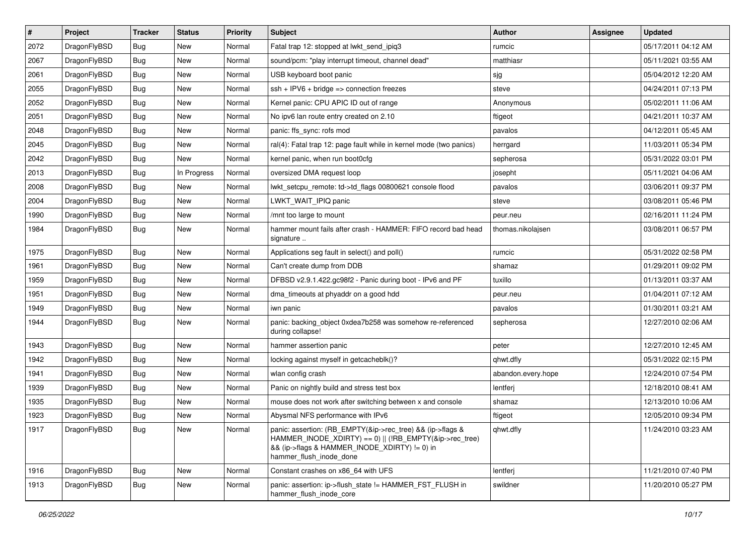| $\pmb{\#}$ | Project      | <b>Tracker</b> | <b>Status</b> | <b>Priority</b> | <b>Subject</b>                                                                                                                                                                                    | <b>Author</b>      | <b>Assignee</b> | <b>Updated</b>      |
|------------|--------------|----------------|---------------|-----------------|---------------------------------------------------------------------------------------------------------------------------------------------------------------------------------------------------|--------------------|-----------------|---------------------|
| 2072       | DragonFlyBSD | Bug            | <b>New</b>    | Normal          | Fatal trap 12: stopped at lwkt_send_ipiq3                                                                                                                                                         | rumcic             |                 | 05/17/2011 04:12 AM |
| 2067       | DragonFlyBSD | Bug            | <b>New</b>    | Normal          | sound/pcm: "play interrupt timeout, channel dead"                                                                                                                                                 | matthiasr          |                 | 05/11/2021 03:55 AM |
| 2061       | DragonFlyBSD | <b>Bug</b>     | New           | Normal          | USB keyboard boot panic                                                                                                                                                                           | sjg                |                 | 05/04/2012 12:20 AM |
| 2055       | DragonFlyBSD | <b>Bug</b>     | New           | Normal          | ssh + IPV6 + bridge => connection freezes                                                                                                                                                         | steve              |                 | 04/24/2011 07:13 PM |
| 2052       | DragonFlyBSD | Bug            | <b>New</b>    | Normal          | Kernel panic: CPU APIC ID out of range                                                                                                                                                            | Anonymous          |                 | 05/02/2011 11:06 AM |
| 2051       | DragonFlyBSD | Bug            | New           | Normal          | No ipv6 lan route entry created on 2.10                                                                                                                                                           | ftigeot            |                 | 04/21/2011 10:37 AM |
| 2048       | DragonFlyBSD | Bug            | <b>New</b>    | Normal          | panic: ffs_sync: rofs mod                                                                                                                                                                         | pavalos            |                 | 04/12/2011 05:45 AM |
| 2045       | DragonFlyBSD | Bug            | New           | Normal          | ral(4): Fatal trap 12: page fault while in kernel mode (two panics)                                                                                                                               | herrgard           |                 | 11/03/2011 05:34 PM |
| 2042       | DragonFlyBSD | <b>Bug</b>     | <b>New</b>    | Normal          | kernel panic, when run boot0cfg                                                                                                                                                                   | sepherosa          |                 | 05/31/2022 03:01 PM |
| 2013       | DragonFlyBSD | Bug            | In Progress   | Normal          | oversized DMA request loop                                                                                                                                                                        | josepht            |                 | 05/11/2021 04:06 AM |
| 2008       | DragonFlyBSD | Bug            | <b>New</b>    | Normal          | lwkt_setcpu_remote: td->td_flags 00800621 console flood                                                                                                                                           | pavalos            |                 | 03/06/2011 09:37 PM |
| 2004       | DragonFlyBSD | Bug            | New           | Normal          | LWKT_WAIT_IPIQ panic                                                                                                                                                                              | steve              |                 | 03/08/2011 05:46 PM |
| 1990       | DragonFlyBSD | Bug            | <b>New</b>    | Normal          | /mnt too large to mount                                                                                                                                                                           | peur.neu           |                 | 02/16/2011 11:24 PM |
| 1984       | DragonFlyBSD | Bug            | New           | Normal          | hammer mount fails after crash - HAMMER: FIFO record bad head<br>signature                                                                                                                        | thomas.nikolajsen  |                 | 03/08/2011 06:57 PM |
| 1975       | DragonFlyBSD | Bug            | New           | Normal          | Applications seg fault in select() and poll()                                                                                                                                                     | rumcic             |                 | 05/31/2022 02:58 PM |
| 1961       | DragonFlyBSD | <b>Bug</b>     | New           | Normal          | Can't create dump from DDB                                                                                                                                                                        | shamaz             |                 | 01/29/2011 09:02 PM |
| 1959       | DragonFlyBSD | Bug            | New           | Normal          | DFBSD v2.9.1.422.gc98f2 - Panic during boot - IPv6 and PF                                                                                                                                         | tuxillo            |                 | 01/13/2011 03:37 AM |
| 1951       | DragonFlyBSD | Bug            | New           | Normal          | dma_timeouts at phyaddr on a good hdd                                                                                                                                                             | peur.neu           |                 | 01/04/2011 07:12 AM |
| 1949       | DragonFlyBSD | Bug            | New           | Normal          | iwn panic                                                                                                                                                                                         | pavalos            |                 | 01/30/2011 03:21 AM |
| 1944       | DragonFlyBSD | Bug            | New           | Normal          | panic: backing_object 0xdea7b258 was somehow re-referenced<br>during collapse!                                                                                                                    | sepherosa          |                 | 12/27/2010 02:06 AM |
| 1943       | DragonFlyBSD | Bug            | <b>New</b>    | Normal          | hammer assertion panic                                                                                                                                                                            | peter              |                 | 12/27/2010 12:45 AM |
| 1942       | DragonFlyBSD | <b>Bug</b>     | New           | Normal          | locking against myself in getcacheblk()?                                                                                                                                                          | qhwt.dfly          |                 | 05/31/2022 02:15 PM |
| 1941       | DragonFlyBSD | <b>Bug</b>     | New           | Normal          | wlan config crash                                                                                                                                                                                 | abandon.every.hope |                 | 12/24/2010 07:54 PM |
| 1939       | DragonFlyBSD | Bug            | <b>New</b>    | Normal          | Panic on nightly build and stress test box                                                                                                                                                        | lentferj           |                 | 12/18/2010 08:41 AM |
| 1935       | DragonFlyBSD | Bug            | New           | Normal          | mouse does not work after switching between x and console                                                                                                                                         | shamaz             |                 | 12/13/2010 10:06 AM |
| 1923       | DragonFlyBSD | Bug            | <b>New</b>    | Normal          | Abysmal NFS performance with IPv6                                                                                                                                                                 | ftigeot            |                 | 12/05/2010 09:34 PM |
| 1917       | DragonFlyBSD | Bug            | New           | Normal          | panic: assertion: (RB_EMPTY(&ip->rec_tree) && (ip->flags &<br>HAMMER_INODE_XDIRTY) == 0)    (!RB_EMPTY(&ip->rec_tree)<br>&& (ip->flags & HAMMER INODE XDIRTY) != 0) in<br>hammer_flush_inode_done | qhwt.dfly          |                 | 11/24/2010 03:23 AM |
| 1916       | DragonFlyBSD | Bug            | New           | Normal          | Constant crashes on x86_64 with UFS                                                                                                                                                               | lentferj           |                 | 11/21/2010 07:40 PM |
| 1913       | DragonFlyBSD | <b>Bug</b>     | New           | Normal          | panic: assertion: ip->flush_state != HAMMER_FST_FLUSH in<br>hammer_flush_inode_core                                                                                                               | swildner           |                 | 11/20/2010 05:27 PM |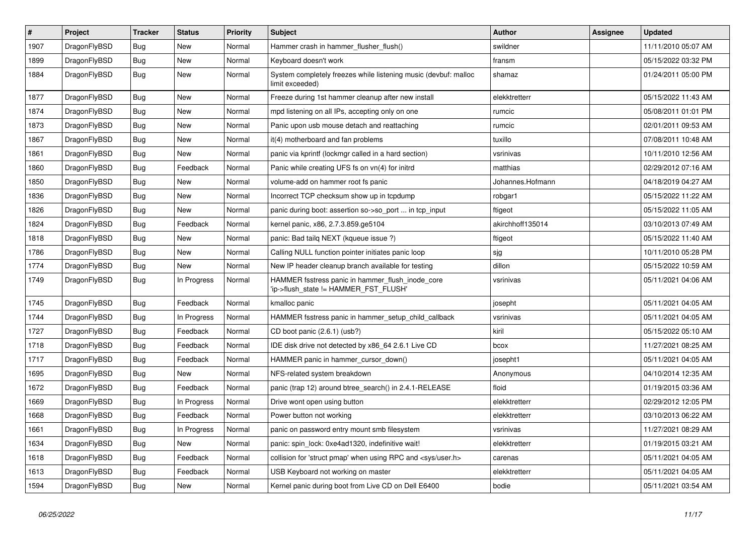| $\vert$ # | Project      | <b>Tracker</b> | <b>Status</b> | <b>Priority</b> | <b>Subject</b>                                                                            | <b>Author</b>    | Assignee | Updated             |
|-----------|--------------|----------------|---------------|-----------------|-------------------------------------------------------------------------------------------|------------------|----------|---------------------|
| 1907      | DragonFlyBSD | Bug            | <b>New</b>    | Normal          | Hammer crash in hammer flusher flush()                                                    | swildner         |          | 11/11/2010 05:07 AM |
| 1899      | DragonFlyBSD | <b>Bug</b>     | <b>New</b>    | Normal          | Keyboard doesn't work                                                                     | fransm           |          | 05/15/2022 03:32 PM |
| 1884      | DragonFlyBSD | <b>Bug</b>     | <b>New</b>    | Normal          | System completely freezes while listening music (devbuf: malloc<br>limit exceeded)        | shamaz           |          | 01/24/2011 05:00 PM |
| 1877      | DragonFlyBSD | <b>Bug</b>     | <b>New</b>    | Normal          | Freeze during 1st hammer cleanup after new install                                        | elekktretterr    |          | 05/15/2022 11:43 AM |
| 1874      | DragonFlyBSD | Bug            | <b>New</b>    | Normal          | mpd listening on all IPs, accepting only on one                                           | rumcic           |          | 05/08/2011 01:01 PM |
| 1873      | DragonFlyBSD | <b>Bug</b>     | <b>New</b>    | Normal          | Panic upon usb mouse detach and reattaching                                               | rumcic           |          | 02/01/2011 09:53 AM |
| 1867      | DragonFlyBSD | <b>Bug</b>     | <b>New</b>    | Normal          | it(4) motherboard and fan problems                                                        | tuxillo          |          | 07/08/2011 10:48 AM |
| 1861      | DragonFlyBSD | <b>Bug</b>     | <b>New</b>    | Normal          | panic via kprintf (lockmgr called in a hard section)                                      | vsrinivas        |          | 10/11/2010 12:56 AM |
| 1860      | DragonFlyBSD | <b>Bug</b>     | Feedback      | Normal          | Panic while creating UFS fs on vn(4) for initrd                                           | matthias         |          | 02/29/2012 07:16 AM |
| 1850      | DragonFlyBSD | <b>Bug</b>     | <b>New</b>    | Normal          | volume-add on hammer root fs panic                                                        | Johannes.Hofmann |          | 04/18/2019 04:27 AM |
| 1836      | DragonFlyBSD | <b>Bug</b>     | <b>New</b>    | Normal          | Incorrect TCP checksum show up in tcpdump                                                 | robgar1          |          | 05/15/2022 11:22 AM |
| 1826      | DragonFlyBSD | Bug            | <b>New</b>    | Normal          | panic during boot: assertion so->so port  in tcp input                                    | ftigeot          |          | 05/15/2022 11:05 AM |
| 1824      | DragonFlyBSD | <b>Bug</b>     | Feedback      | Normal          | kernel panic, x86, 2.7.3.859.ge5104                                                       | akirchhoff135014 |          | 03/10/2013 07:49 AM |
| 1818      | DragonFlyBSD | <b>Bug</b>     | <b>New</b>    | Normal          | panic: Bad tailg NEXT (kqueue issue ?)                                                    | ftigeot          |          | 05/15/2022 11:40 AM |
| 1786      | DragonFlyBSD | <b>Bug</b>     | <b>New</b>    | Normal          | Calling NULL function pointer initiates panic loop                                        | sjg              |          | 10/11/2010 05:28 PM |
| 1774      | DragonFlyBSD | <b>Bug</b>     | <b>New</b>    | Normal          | New IP header cleanup branch available for testing                                        | dillon           |          | 05/15/2022 10:59 AM |
| 1749      | DragonFlyBSD | Bug            | In Progress   | Normal          | HAMMER fsstress panic in hammer flush inode core<br>'ip->flush_state != HAMMER_FST_FLUSH' | vsrinivas        |          | 05/11/2021 04:06 AM |
| 1745      | DragonFlyBSD | <b>Bug</b>     | Feedback      | Normal          | kmalloc panic                                                                             | josepht          |          | 05/11/2021 04:05 AM |
| 1744      | DragonFlyBSD | <b>Bug</b>     | In Progress   | Normal          | HAMMER fsstress panic in hammer_setup_child_callback                                      | vsrinivas        |          | 05/11/2021 04:05 AM |
| 1727      | DragonFlyBSD | <b>Bug</b>     | Feedback      | Normal          | CD boot panic (2.6.1) (usb?)                                                              | kiril            |          | 05/15/2022 05:10 AM |
| 1718      | DragonFlyBSD | Bug            | Feedback      | Normal          | IDE disk drive not detected by x86_64 2.6.1 Live CD                                       | bcox             |          | 11/27/2021 08:25 AM |
| 1717      | DragonFlyBSD | Bug            | Feedback      | Normal          | HAMMER panic in hammer cursor down()                                                      | josepht1         |          | 05/11/2021 04:05 AM |
| 1695      | DragonFlyBSD | Bug            | New           | Normal          | NFS-related system breakdown                                                              | Anonymous        |          | 04/10/2014 12:35 AM |
| 1672      | DragonFlyBSD | <b>Bug</b>     | Feedback      | Normal          | panic (trap 12) around btree search() in 2.4.1-RELEASE                                    | floid            |          | 01/19/2015 03:36 AM |
| 1669      | DragonFlyBSD | <b>Bug</b>     | In Progress   | Normal          | Drive wont open using button                                                              | elekktretterr    |          | 02/29/2012 12:05 PM |
| 1668      | DragonFlyBSD | <b>Bug</b>     | Feedback      | Normal          | Power button not working                                                                  | elekktretterr    |          | 03/10/2013 06:22 AM |
| 1661      | DragonFlyBSD | Bug            | In Progress   | Normal          | panic on password entry mount smb filesystem                                              | vsrinivas        |          | 11/27/2021 08:29 AM |
| 1634      | DragonFlyBSD | Bug            | <b>New</b>    | Normal          | panic: spin lock: 0xe4ad1320, indefinitive wait!                                          | elekktretterr    |          | 01/19/2015 03:21 AM |
| 1618      | DragonFlyBSD | Bug            | Feedback      | Normal          | collision for 'struct pmap' when using RPC and <sys user.h=""></sys>                      | carenas          |          | 05/11/2021 04:05 AM |
| 1613      | DragonFlyBSD | Bug            | Feedback      | Normal          | USB Keyboard not working on master                                                        | elekktretterr    |          | 05/11/2021 04:05 AM |
| 1594      | DragonFlyBSD | <b>Bug</b>     | New           | Normal          | Kernel panic during boot from Live CD on Dell E6400                                       | bodie            |          | 05/11/2021 03:54 AM |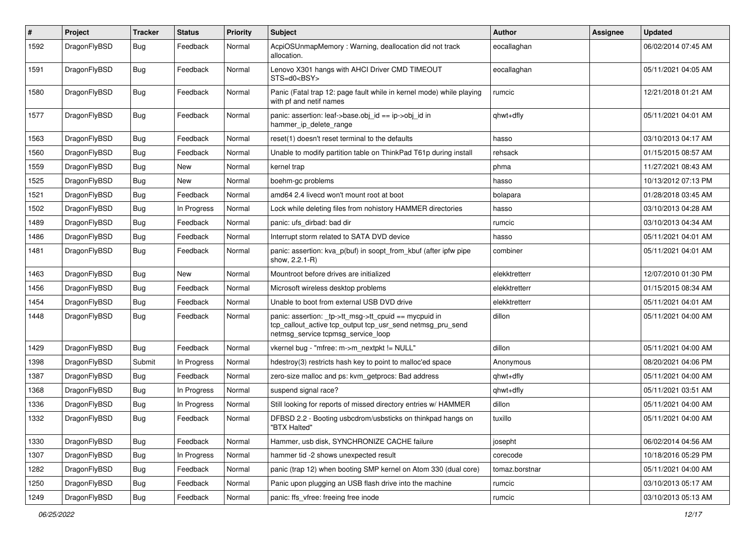| $\sharp$ | Project      | <b>Tracker</b> | <b>Status</b> | <b>Priority</b> | Subject                                                                                                                                                   | <b>Author</b>  | Assignee | <b>Updated</b>      |
|----------|--------------|----------------|---------------|-----------------|-----------------------------------------------------------------------------------------------------------------------------------------------------------|----------------|----------|---------------------|
| 1592     | DragonFlyBSD | <b>Bug</b>     | Feedback      | Normal          | AcpiOSUnmapMemory: Warning, deallocation did not track<br>allocation.                                                                                     | eocallaghan    |          | 06/02/2014 07:45 AM |
| 1591     | DragonFlyBSD | <b>Bug</b>     | Feedback      | Normal          | Lenovo X301 hangs with AHCI Driver CMD TIMEOUT<br>STS=d0 <bsy></bsy>                                                                                      | eocallaghan    |          | 05/11/2021 04:05 AM |
| 1580     | DragonFlyBSD | <b>Bug</b>     | Feedback      | Normal          | Panic (Fatal trap 12: page fault while in kernel mode) while playing<br>with pf and netif names                                                           | rumcic         |          | 12/21/2018 01:21 AM |
| 1577     | DragonFlyBSD | Bug            | Feedback      | Normal          | panic: assertion: leaf->base.obj_id == ip->obj_id in<br>hammer_ip_delete_range                                                                            | qhwt+dfly      |          | 05/11/2021 04:01 AM |
| 1563     | DragonFlyBSD | <b>Bug</b>     | Feedback      | Normal          | reset(1) doesn't reset terminal to the defaults                                                                                                           | hasso          |          | 03/10/2013 04:17 AM |
| 1560     | DragonFlyBSD | <b>Bug</b>     | Feedback      | Normal          | Unable to modify partition table on ThinkPad T61p during install                                                                                          | rehsack        |          | 01/15/2015 08:57 AM |
| 1559     | DragonFlyBSD | <b>Bug</b>     | <b>New</b>    | Normal          | kernel trap                                                                                                                                               | phma           |          | 11/27/2021 08:43 AM |
| 1525     | DragonFlyBSD | <b>Bug</b>     | New           | Normal          | boehm-gc problems                                                                                                                                         | hasso          |          | 10/13/2012 07:13 PM |
| 1521     | DragonFlyBSD | <b>Bug</b>     | Feedback      | Normal          | amd64 2.4 livecd won't mount root at boot                                                                                                                 | bolapara       |          | 01/28/2018 03:45 AM |
| 1502     | DragonFlyBSD | <b>Bug</b>     | In Progress   | Normal          | Lock while deleting files from nohistory HAMMER directories                                                                                               | hasso          |          | 03/10/2013 04:28 AM |
| 1489     | DragonFlyBSD | <b>Bug</b>     | Feedback      | Normal          | panic: ufs dirbad: bad dir                                                                                                                                | rumcic         |          | 03/10/2013 04:34 AM |
| 1486     | DragonFlyBSD | Bug            | Feedback      | Normal          | Interrupt storm related to SATA DVD device                                                                                                                | hasso          |          | 05/11/2021 04:01 AM |
| 1481     | DragonFlyBSD | <b>Bug</b>     | Feedback      | Normal          | panic: assertion: kva p(buf) in soopt from kbuf (after ipfw pipe<br>show, 2.2.1-R)                                                                        | combiner       |          | 05/11/2021 04:01 AM |
| 1463     | DragonFlyBSD | <b>Bug</b>     | New           | Normal          | Mountroot before drives are initialized                                                                                                                   | elekktretterr  |          | 12/07/2010 01:30 PM |
| 1456     | DragonFlyBSD | <b>Bug</b>     | Feedback      | Normal          | Microsoft wireless desktop problems                                                                                                                       | elekktretterr  |          | 01/15/2015 08:34 AM |
| 1454     | DragonFlyBSD | Bug            | Feedback      | Normal          | Unable to boot from external USB DVD drive                                                                                                                | elekktretterr  |          | 05/11/2021 04:01 AM |
| 1448     | DragonFlyBSD | <b>Bug</b>     | Feedback      | Normal          | panic: assertion: _tp->tt_msg->tt_cpuid == mycpuid in<br>tcp_callout_active tcp_output tcp_usr_send netmsg_pru_send<br>netmsg_service tcpmsg_service_loop | dillon         |          | 05/11/2021 04:00 AM |
| 1429     | DragonFlyBSD | <b>Bug</b>     | Feedback      | Normal          | vkernel bug - "mfree: m->m_nextpkt != NULL"                                                                                                               | dillon         |          | 05/11/2021 04:00 AM |
| 1398     | DragonFlyBSD | Submit         | In Progress   | Normal          | hdestroy(3) restricts hash key to point to malloc'ed space                                                                                                | Anonymous      |          | 08/20/2021 04:06 PM |
| 1387     | DragonFlyBSD | <b>Bug</b>     | Feedback      | Normal          | zero-size malloc and ps: kvm_getprocs: Bad address                                                                                                        | qhwt+dfly      |          | 05/11/2021 04:00 AM |
| 1368     | DragonFlyBSD | <b>Bug</b>     | In Progress   | Normal          | suspend signal race?                                                                                                                                      | qhwt+dfly      |          | 05/11/2021 03:51 AM |
| 1336     | DragonFlyBSD | Bug            | In Progress   | Normal          | Still looking for reports of missed directory entries w/ HAMMER                                                                                           | dillon         |          | 05/11/2021 04:00 AM |
| 1332     | DragonFlyBSD | <b>Bug</b>     | Feedback      | Normal          | DFBSD 2.2 - Booting usbcdrom/usbsticks on thinkpad hangs on<br>"BTX Halted"                                                                               | tuxillo        |          | 05/11/2021 04:00 AM |
| 1330     | DragonFlyBSD | Bug            | Feedback      | Normal          | Hammer, usb disk, SYNCHRONIZE CACHE failure                                                                                                               | josepht        |          | 06/02/2014 04:56 AM |
| 1307     | DragonFlyBSD | <b>Bug</b>     | In Progress   | Normal          | hammer tid -2 shows unexpected result                                                                                                                     | corecode       |          | 10/18/2016 05:29 PM |
| 1282     | DragonFlyBSD | <b>Bug</b>     | Feedback      | Normal          | panic (trap 12) when booting SMP kernel on Atom 330 (dual core)                                                                                           | tomaz.borstnar |          | 05/11/2021 04:00 AM |
| 1250     | DragonFlyBSD | <b>Bug</b>     | Feedback      | Normal          | Panic upon plugging an USB flash drive into the machine                                                                                                   | rumcic         |          | 03/10/2013 05:17 AM |
| 1249     | DragonFlyBSD | <b>Bug</b>     | Feedback      | Normal          | panic: ffs_vfree: freeing free inode                                                                                                                      | rumcic         |          | 03/10/2013 05:13 AM |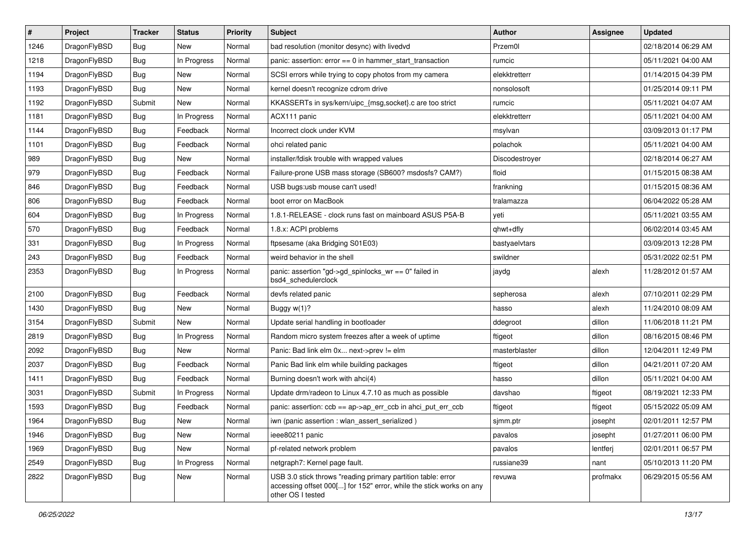| $\sharp$ | Project      | <b>Tracker</b> | <b>Status</b> | <b>Priority</b> | Subject                                                                                                                                                  | <b>Author</b>  | Assignee | <b>Updated</b>      |
|----------|--------------|----------------|---------------|-----------------|----------------------------------------------------------------------------------------------------------------------------------------------------------|----------------|----------|---------------------|
| 1246     | DragonFlyBSD | <b>Bug</b>     | New           | Normal          | bad resolution (monitor desync) with livedvd                                                                                                             | Przem0l        |          | 02/18/2014 06:29 AM |
| 1218     | DragonFlyBSD | Bug            | In Progress   | Normal          | panic: assertion: error == 0 in hammer_start_transaction                                                                                                 | rumcic         |          | 05/11/2021 04:00 AM |
| 1194     | DragonFlyBSD | <b>Bug</b>     | New           | Normal          | SCSI errors while trying to copy photos from my camera                                                                                                   | elekktretterr  |          | 01/14/2015 04:39 PM |
| 1193     | DragonFlyBSD | <b>Bug</b>     | New           | Normal          | kernel doesn't recognize cdrom drive                                                                                                                     | nonsolosoft    |          | 01/25/2014 09:11 PM |
| 1192     | DragonFlyBSD | Submit         | <b>New</b>    | Normal          | KKASSERTs in sys/kern/uipc_{msg,socket}.c are too strict                                                                                                 | rumcic         |          | 05/11/2021 04:07 AM |
| 1181     | DragonFlyBSD | <b>Bug</b>     | In Progress   | Normal          | ACX111 panic                                                                                                                                             | elekktretterr  |          | 05/11/2021 04:00 AM |
| 1144     | DragonFlyBSD | Bug            | Feedback      | Normal          | Incorrect clock under KVM                                                                                                                                | msylvan        |          | 03/09/2013 01:17 PM |
| 1101     | DragonFlyBSD | <b>Bug</b>     | Feedback      | Normal          | ohci related panic                                                                                                                                       | polachok       |          | 05/11/2021 04:00 AM |
| 989      | DragonFlyBSD | <b>Bug</b>     | <b>New</b>    | Normal          | installer/fdisk trouble with wrapped values                                                                                                              | Discodestroyer |          | 02/18/2014 06:27 AM |
| 979      | DragonFlyBSD | Bug            | Feedback      | Normal          | Failure-prone USB mass storage (SB600? msdosfs? CAM?)                                                                                                    | floid          |          | 01/15/2015 08:38 AM |
| 846      | DragonFlyBSD | <b>Bug</b>     | Feedback      | Normal          | USB bugs:usb mouse can't used!                                                                                                                           | frankning      |          | 01/15/2015 08:36 AM |
| 806      | DragonFlyBSD | Bug            | Feedback      | Normal          | boot error on MacBook                                                                                                                                    | tralamazza     |          | 06/04/2022 05:28 AM |
| 604      | DragonFlyBSD | Bug            | In Progress   | Normal          | 1.8.1-RELEASE - clock runs fast on mainboard ASUS P5A-B                                                                                                  | yeti           |          | 05/11/2021 03:55 AM |
| 570      | DragonFlyBSD | <b>Bug</b>     | Feedback      | Normal          | 1.8.x: ACPI problems                                                                                                                                     | qhwt+dfly      |          | 06/02/2014 03:45 AM |
| 331      | DragonFlyBSD | <b>Bug</b>     | In Progress   | Normal          | ftpsesame (aka Bridging S01E03)                                                                                                                          | bastyaelvtars  |          | 03/09/2013 12:28 PM |
| 243      | DragonFlyBSD | <b>Bug</b>     | Feedback      | Normal          | weird behavior in the shell                                                                                                                              | swildner       |          | 05/31/2022 02:51 PM |
| 2353     | DragonFlyBSD | Bug            | In Progress   | Normal          | panic: assertion "gd->gd_spinlocks_wr == 0" failed in<br>bsd4_schedulerclock                                                                             | jaydg          | alexh    | 11/28/2012 01:57 AM |
| 2100     | DragonFlyBSD | <b>Bug</b>     | Feedback      | Normal          | devfs related panic                                                                                                                                      | sepherosa      | alexh    | 07/10/2011 02:29 PM |
| 1430     | DragonFlyBSD | <b>Bug</b>     | <b>New</b>    | Normal          | Buggy w(1)?                                                                                                                                              | hasso          | alexh    | 11/24/2010 08:09 AM |
| 3154     | DragonFlyBSD | Submit         | <b>New</b>    | Normal          | Update serial handling in bootloader                                                                                                                     | ddegroot       | dillon   | 11/06/2018 11:21 PM |
| 2819     | DragonFlyBSD | <b>Bug</b>     | In Progress   | Normal          | Random micro system freezes after a week of uptime                                                                                                       | ftigeot        | dillon   | 08/16/2015 08:46 PM |
| 2092     | DragonFlyBSD | <b>Bug</b>     | New           | Normal          | Panic: Bad link elm 0x next->prev != elm                                                                                                                 | masterblaster  | dillon   | 12/04/2011 12:49 PM |
| 2037     | DragonFlyBSD | Bug            | Feedback      | Normal          | Panic Bad link elm while building packages                                                                                                               | ftigeot        | dillon   | 04/21/2011 07:20 AM |
| 1411     | DragonFlyBSD | <b>Bug</b>     | Feedback      | Normal          | Burning doesn't work with ahci(4)                                                                                                                        | hasso          | dillon   | 05/11/2021 04:00 AM |
| 3031     | DragonFlyBSD | Submit         | In Progress   | Normal          | Update drm/radeon to Linux 4.7.10 as much as possible                                                                                                    | davshao        | ftigeot  | 08/19/2021 12:33 PM |
| 1593     | DragonFlyBSD | <b>Bug</b>     | Feedback      | Normal          | panic: assertion: ccb == ap->ap_err_ccb in ahci_put_err_ccb                                                                                              | ftigeot        | ftigeot  | 05/15/2022 05:09 AM |
| 1964     | DragonFlyBSD | <b>Bug</b>     | New           | Normal          | iwn (panic assertion : wlan_assert_serialized)                                                                                                           | sjmm.ptr       | josepht  | 02/01/2011 12:57 PM |
| 1946     | DragonFlyBSD | <b>Bug</b>     | <b>New</b>    | Normal          | ieee80211 panic                                                                                                                                          | pavalos        | josepht  | 01/27/2011 06:00 PM |
| 1969     | DragonFlyBSD | <b>Bug</b>     | New           | Normal          | pf-related network problem                                                                                                                               | pavalos        | lentferj | 02/01/2011 06:57 PM |
| 2549     | DragonFlyBSD | <b>Bug</b>     | In Progress   | Normal          | netgraph7: Kernel page fault.                                                                                                                            | russiane39     | nant     | 05/10/2013 11:20 PM |
| 2822     | DragonFlyBSD | <b>Bug</b>     | New           | Normal          | USB 3.0 stick throws "reading primary partition table: error<br>accessing offset 000[] for 152" error, while the stick works on any<br>other OS I tested | revuwa         | profmakx | 06/29/2015 05:56 AM |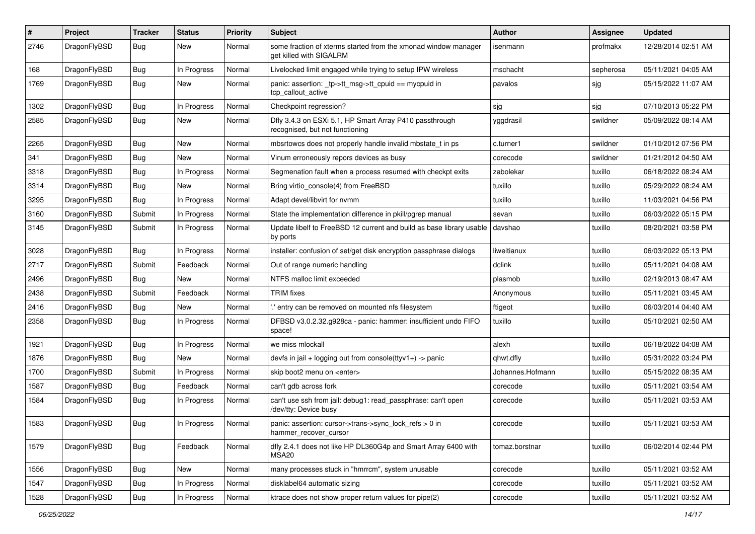| $\sharp$ | Project      | <b>Tracker</b> | <b>Status</b> | <b>Priority</b> | Subject                                                                                    | Author           | <b>Assignee</b> | <b>Updated</b>      |
|----------|--------------|----------------|---------------|-----------------|--------------------------------------------------------------------------------------------|------------------|-----------------|---------------------|
| 2746     | DragonFlyBSD | <b>Bug</b>     | New           | Normal          | some fraction of xterms started from the xmonad window manager<br>get killed with SIGALRM  | isenmann         | profmakx        | 12/28/2014 02:51 AM |
| 168      | DragonFlyBSD | <b>Bug</b>     | In Progress   | Normal          | Livelocked limit engaged while trying to setup IPW wireless                                | mschacht         | sepherosa       | 05/11/2021 04:05 AM |
| 1769     | DragonFlyBSD | <b>Bug</b>     | New           | Normal          | panic: assertion: _tp->tt_msg->tt_cpuid == mycpuid in<br>tcp_callout_active                | pavalos          | sjg             | 05/15/2022 11:07 AM |
| 1302     | DragonFlyBSD | <b>Bug</b>     | In Progress   | Normal          | Checkpoint regression?                                                                     | sjg              | sjg             | 07/10/2013 05:22 PM |
| 2585     | DragonFlyBSD | <b>Bug</b>     | <b>New</b>    | Normal          | Dfly 3.4.3 on ESXi 5.1, HP Smart Array P410 passthrough<br>recognised, but not functioning | yggdrasil        | swildner        | 05/09/2022 08:14 AM |
| 2265     | DragonFlyBSD | <b>Bug</b>     | New           | Normal          | mbsrtowcs does not properly handle invalid mbstate t in ps                                 | c.turner1        | swildner        | 01/10/2012 07:56 PM |
| 341      | DragonFlyBSD | <b>Bug</b>     | <b>New</b>    | Normal          | Vinum erroneously repors devices as busy                                                   | corecode         | swildner        | 01/21/2012 04:50 AM |
| 3318     | DragonFlyBSD | Bug            | In Progress   | Normal          | Segmenation fault when a process resumed with checkpt exits                                | zabolekar        | tuxillo         | 06/18/2022 08:24 AM |
| 3314     | DragonFlyBSD | <b>Bug</b>     | New           | Normal          | Bring virtio console(4) from FreeBSD                                                       | tuxillo          | tuxillo         | 05/29/2022 08:24 AM |
| 3295     | DragonFlyBSD | <b>Bug</b>     | In Progress   | Normal          | Adapt devel/libvirt for nvmm                                                               | tuxillo          | tuxillo         | 11/03/2021 04:56 PM |
| 3160     | DragonFlyBSD | Submit         | In Progress   | Normal          | State the implementation difference in pkill/pgrep manual                                  | sevan            | tuxillo         | 06/03/2022 05:15 PM |
| 3145     | DragonFlyBSD | Submit         | In Progress   | Normal          | Update libelf to FreeBSD 12 current and build as base library usable<br>by ports           | davshao          | tuxillo         | 08/20/2021 03:58 PM |
| 3028     | DragonFlyBSD | <b>Bug</b>     | In Progress   | Normal          | installer: confusion of set/get disk encryption passphrase dialogs                         | liweitianux      | tuxillo         | 06/03/2022 05:13 PM |
| 2717     | DragonFlyBSD | Submit         | Feedback      | Normal          | Out of range numeric handling                                                              | dclink           | tuxillo         | 05/11/2021 04:08 AM |
| 2496     | DragonFlyBSD | <b>Bug</b>     | New           | Normal          | NTFS malloc limit exceeded                                                                 | plasmob          | tuxillo         | 02/19/2013 08:47 AM |
| 2438     | DragonFlyBSD | Submit         | Feedback      | Normal          | <b>TRIM</b> fixes                                                                          | Anonymous        | tuxillo         | 05/11/2021 03:45 AM |
| 2416     | DragonFlyBSD | <b>Bug</b>     | New           | Normal          | ".' entry can be removed on mounted nfs filesystem                                         | ftigeot          | tuxillo         | 06/03/2014 04:40 AM |
| 2358     | DragonFlyBSD | <b>Bug</b>     | In Progress   | Normal          | DFBSD v3.0.2.32.g928ca - panic: hammer: insufficient undo FIFO<br>space!                   | tuxillo          | tuxillo         | 05/10/2021 02:50 AM |
| 1921     | DragonFlyBSD | <b>Bug</b>     | In Progress   | Normal          | we miss mlockall                                                                           | alexh            | tuxillo         | 06/18/2022 04:08 AM |
| 1876     | DragonFlyBSD | <b>Bug</b>     | New           | Normal          | devfs in jail + logging out from console(ttyv1+) -> panic                                  | qhwt.dfly        | tuxillo         | 05/31/2022 03:24 PM |
| 1700     | DragonFlyBSD | Submit         | In Progress   | Normal          | skip boot2 menu on <enter></enter>                                                         | Johannes.Hofmann | tuxillo         | 05/15/2022 08:35 AM |
| 1587     | DragonFlyBSD | <b>Bug</b>     | Feedback      | Normal          | can't gdb across fork                                                                      | corecode         | tuxillo         | 05/11/2021 03:54 AM |
| 1584     | DragonFlyBSD | <b>Bug</b>     | In Progress   | Normal          | can't use ssh from jail: debug1: read_passphrase: can't open<br>/dev/tty: Device busy      | corecode         | tuxillo         | 05/11/2021 03:53 AM |
| 1583     | DragonFlyBSD | <b>Bug</b>     | In Progress   | Normal          | panic: assertion: cursor->trans->sync_lock_refs > 0 in<br>hammer recover cursor            | corecode         | tuxillo         | 05/11/2021 03:53 AM |
| 1579     | DragonFlyBSD | <b>Bug</b>     | Feedback      | Normal          | dfly 2.4.1 does not like HP DL360G4p and Smart Array 6400 with<br>MSA20                    | tomaz.borstnar   | tuxillo         | 06/02/2014 02:44 PM |
| 1556     | DragonFlyBSD | <b>Bug</b>     | New           | Normal          | many processes stuck in "hmrrcm", system unusable                                          | corecode         | tuxillo         | 05/11/2021 03:52 AM |
| 1547     | DragonFlyBSD | <b>Bug</b>     | In Progress   | Normal          | disklabel64 automatic sizing                                                               | corecode         | tuxillo         | 05/11/2021 03:52 AM |
| 1528     | DragonFlyBSD | <b>Bug</b>     | In Progress   | Normal          | ktrace does not show proper return values for pipe(2)                                      | corecode         | tuxillo         | 05/11/2021 03:52 AM |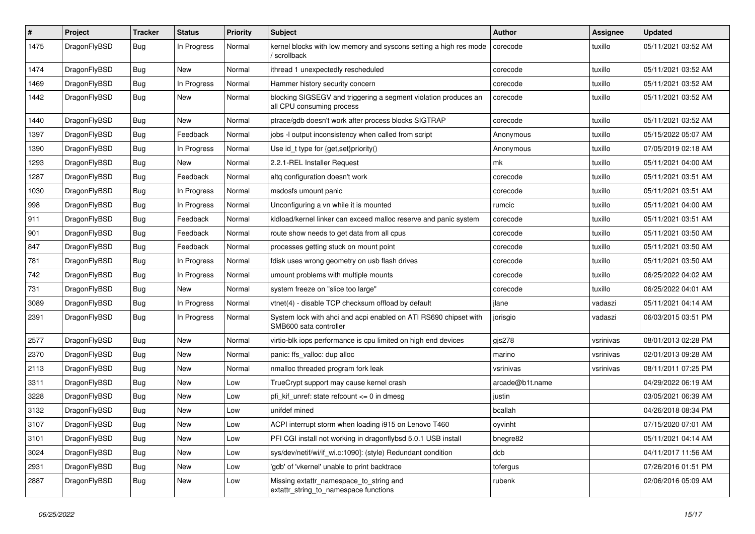| #    | Project      | <b>Tracker</b> | <b>Status</b> | <b>Priority</b> | Subject                                                                                      | Author          | Assignee  | <b>Updated</b>      |
|------|--------------|----------------|---------------|-----------------|----------------------------------------------------------------------------------------------|-----------------|-----------|---------------------|
| 1475 | DragonFlyBSD | <b>Bug</b>     | In Progress   | Normal          | kernel blocks with low memory and syscons setting a high res mode<br>/ scrollback            | corecode        | tuxillo   | 05/11/2021 03:52 AM |
| 1474 | DragonFlyBSD | <b>Bug</b>     | New           | Normal          | ithread 1 unexpectedly rescheduled                                                           | corecode        | tuxillo   | 05/11/2021 03:52 AM |
| 1469 | DragonFlyBSD | <b>Bug</b>     | In Progress   | Normal          | Hammer history security concern                                                              | corecode        | tuxillo   | 05/11/2021 03:52 AM |
| 1442 | DragonFlyBSD | <b>Bug</b>     | New           | Normal          | blocking SIGSEGV and triggering a segment violation produces an<br>all CPU consuming process | corecode        | tuxillo   | 05/11/2021 03:52 AM |
| 1440 | DragonFlyBSD | <b>Bug</b>     | New           | Normal          | ptrace/gdb doesn't work after process blocks SIGTRAP                                         | corecode        | tuxillo   | 05/11/2021 03:52 AM |
| 1397 | DragonFlyBSD | <b>Bug</b>     | Feedback      | Normal          | jobs -I output inconsistency when called from script                                         | Anonymous       | tuxillo   | 05/15/2022 05:07 AM |
| 1390 | DragonFlyBSD | <b>Bug</b>     | In Progress   | Normal          | Use id_t type for {get,set}priority()                                                        | Anonymous       | tuxillo   | 07/05/2019 02:18 AM |
| 1293 | DragonFlyBSD | <b>Bug</b>     | New           | Normal          | 2.2.1-REL Installer Request                                                                  | mk              | tuxillo   | 05/11/2021 04:00 AM |
| 1287 | DragonFlyBSD | <b>Bug</b>     | Feedback      | Normal          | altg configuration doesn't work                                                              | corecode        | tuxillo   | 05/11/2021 03:51 AM |
| 1030 | DragonFlyBSD | <b>Bug</b>     | In Progress   | Normal          | msdosfs umount panic                                                                         | corecode        | tuxillo   | 05/11/2021 03:51 AM |
| 998  | DragonFlyBSD | Bug            | In Progress   | Normal          | Unconfiguring a vn while it is mounted                                                       | rumcic          | tuxillo   | 05/11/2021 04:00 AM |
| 911  | DragonFlyBSD | <b>Bug</b>     | Feedback      | Normal          | kldload/kernel linker can exceed malloc reserve and panic system                             | corecode        | tuxillo   | 05/11/2021 03:51 AM |
| 901  | DragonFlyBSD | <b>Bug</b>     | Feedback      | Normal          | route show needs to get data from all cpus                                                   | corecode        | tuxillo   | 05/11/2021 03:50 AM |
| 847  | DragonFlyBSD | <b>Bug</b>     | Feedback      | Normal          | processes getting stuck on mount point                                                       | corecode        | tuxillo   | 05/11/2021 03:50 AM |
| 781  | DragonFlyBSD | Bug            | In Progress   | Normal          | fdisk uses wrong geometry on usb flash drives                                                | corecode        | tuxillo   | 05/11/2021 03:50 AM |
| 742  | DragonFlyBSD | <b>Bug</b>     | In Progress   | Normal          | umount problems with multiple mounts                                                         | corecode        | tuxillo   | 06/25/2022 04:02 AM |
| 731  | DragonFlyBSD | <b>Bug</b>     | New           | Normal          | system freeze on "slice too large"                                                           | corecode        | tuxillo   | 06/25/2022 04:01 AM |
| 3089 | DragonFlyBSD | <b>Bug</b>     | In Progress   | Normal          | vtnet(4) - disable TCP checksum offload by default                                           | jlane           | vadaszi   | 05/11/2021 04:14 AM |
| 2391 | DragonFlyBSD | <b>Bug</b>     | In Progress   | Normal          | System lock with ahci and acpi enabled on ATI RS690 chipset with<br>SMB600 sata controller   | jorisgio        | vadaszi   | 06/03/2015 03:51 PM |
| 2577 | DragonFlyBSD | <b>Bug</b>     | <b>New</b>    | Normal          | virtio-blk iops performance is cpu limited on high end devices                               | gjs278          | vsrinivas | 08/01/2013 02:28 PM |
| 2370 | DragonFlyBSD | Bug            | New           | Normal          | panic: ffs_valloc: dup alloc                                                                 | marino          | vsrinivas | 02/01/2013 09:28 AM |
| 2113 | DragonFlyBSD | <b>Bug</b>     | <b>New</b>    | Normal          | nmalloc threaded program fork leak                                                           | vsrinivas       | vsrinivas | 08/11/2011 07:25 PM |
| 3311 | DragonFlyBSD | Bug            | New           | Low             | TrueCrypt support may cause kernel crash                                                     | arcade@b1t.name |           | 04/29/2022 06:19 AM |
| 3228 | DragonFlyBSD | Bug            | <b>New</b>    | Low             | pfi_kif_unref: state refcount <= 0 in dmesg                                                  | justin          |           | 03/05/2021 06:39 AM |
| 3132 | DragonFlyBSD | Bug            | New           | Low             | unifdef mined                                                                                | bcallah         |           | 04/26/2018 08:34 PM |
| 3107 | DragonFlyBSD | Bug            | New           | Low             | ACPI interrupt storm when loading i915 on Lenovo T460                                        | oyvinht         |           | 07/15/2020 07:01 AM |
| 3101 | DragonFlyBSD | <b>Bug</b>     | <b>New</b>    | Low             | PFI CGI install not working in dragonflybsd 5.0.1 USB install                                | bnegre82        |           | 05/11/2021 04:14 AM |
| 3024 | DragonFlyBSD | <b>Bug</b>     | <b>New</b>    | Low             | sys/dev/netif/wi/if wi.c:1090]: (style) Redundant condition                                  | dcb             |           | 04/11/2017 11:56 AM |
| 2931 | DragonFlyBSD | <b>Bug</b>     | <b>New</b>    | Low             | 'gdb' of 'vkernel' unable to print backtrace                                                 | tofergus        |           | 07/26/2016 01:51 PM |
| 2887 | DragonFlyBSD | <b>Bug</b>     | New           | Low             | Missing extattr_namespace_to_string and<br>extattr string to namespace functions             | rubenk          |           | 02/06/2016 05:09 AM |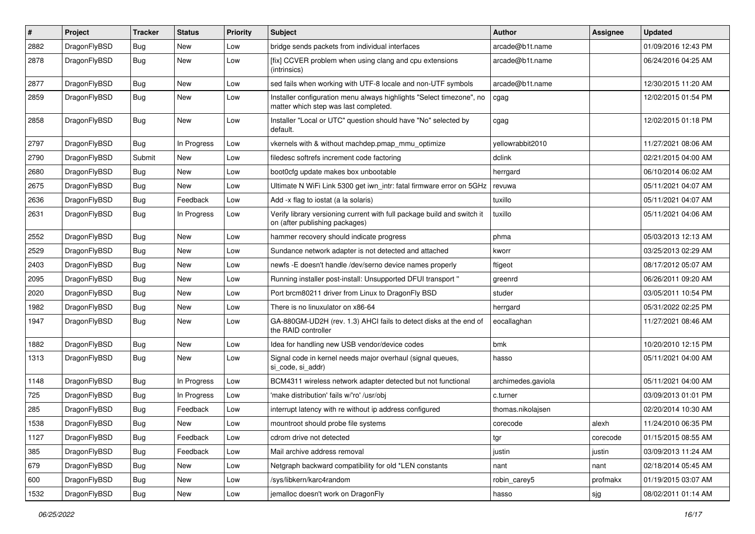| #    | Project      | <b>Tracker</b> | <b>Status</b> | <b>Priority</b> | Subject                                                                                                       | <b>Author</b>      | Assignee | <b>Updated</b>      |
|------|--------------|----------------|---------------|-----------------|---------------------------------------------------------------------------------------------------------------|--------------------|----------|---------------------|
| 2882 | DragonFlyBSD | Bug            | <b>New</b>    | Low             | bridge sends packets from individual interfaces                                                               | arcade@b1t.name    |          | 01/09/2016 12:43 PM |
| 2878 | DragonFlyBSD | <b>Bug</b>     | <b>New</b>    | Low             | [fix] CCVER problem when using clang and cpu extensions<br>(intrinsics)                                       | arcade@b1t.name    |          | 06/24/2016 04:25 AM |
| 2877 | DragonFlyBSD | Bug            | <b>New</b>    | Low             | sed fails when working with UTF-8 locale and non-UTF symbols                                                  | arcade@b1t.name    |          | 12/30/2015 11:20 AM |
| 2859 | DragonFlyBSD | Bug            | New           | Low             | Installer configuration menu always highlights "Select timezone", no<br>matter which step was last completed. | cgag               |          | 12/02/2015 01:54 PM |
| 2858 | DragonFlyBSD | <b>Bug</b>     | New           | Low             | Installer "Local or UTC" question should have "No" selected by<br>default.                                    | cgag               |          | 12/02/2015 01:18 PM |
| 2797 | DragonFlyBSD | Bug            | In Progress   | Low             | vkernels with & without machdep.pmap_mmu_optimize                                                             | yellowrabbit2010   |          | 11/27/2021 08:06 AM |
| 2790 | DragonFlyBSD | Submit         | <b>New</b>    | Low             | filedesc softrefs increment code factoring                                                                    | dclink             |          | 02/21/2015 04:00 AM |
| 2680 | DragonFlyBSD | <b>Bug</b>     | New           | Low             | boot0cfg update makes box unbootable                                                                          | herrgard           |          | 06/10/2014 06:02 AM |
| 2675 | DragonFlyBSD | <b>Bug</b>     | New           | Low             | Ultimate N WiFi Link 5300 get iwn_intr: fatal firmware error on 5GHz                                          | revuwa             |          | 05/11/2021 04:07 AM |
| 2636 | DragonFlyBSD | <b>Bug</b>     | Feedback      | Low             | Add -x flag to iostat (a la solaris)                                                                          | tuxillo            |          | 05/11/2021 04:07 AM |
| 2631 | DragonFlyBSD | <b>Bug</b>     | In Progress   | Low             | Verify library versioning current with full package build and switch it<br>on (after publishing packages)     | tuxillo            |          | 05/11/2021 04:06 AM |
| 2552 | DragonFlyBSD | <b>Bug</b>     | New           | Low             | hammer recovery should indicate progress                                                                      | phma               |          | 05/03/2013 12:13 AM |
| 2529 | DragonFlyBSD | <b>Bug</b>     | New           | Low             | Sundance network adapter is not detected and attached                                                         | kworr              |          | 03/25/2013 02:29 AM |
| 2403 | DragonFlyBSD | <b>Bug</b>     | <b>New</b>    | Low             | newfs -E doesn't handle /dev/serno device names properly                                                      | ftigeot            |          | 08/17/2012 05:07 AM |
| 2095 | DragonFlyBSD | <b>Bug</b>     | New           | Low             | Running installer post-install: Unsupported DFUI transport "                                                  | greenrd            |          | 06/26/2011 09:20 AM |
| 2020 | DragonFlyBSD | <b>Bug</b>     | New           | Low             | Port brcm80211 driver from Linux to DragonFly BSD                                                             | studer             |          | 03/05/2011 10:54 PM |
| 1982 | DragonFlyBSD | <b>Bug</b>     | <b>New</b>    | Low             | There is no linuxulator on x86-64                                                                             | herrgard           |          | 05/31/2022 02:25 PM |
| 1947 | DragonFlyBSD | <b>Bug</b>     | New           | Low             | GA-880GM-UD2H (rev. 1.3) AHCI fails to detect disks at the end of<br>the RAID controller                      | eocallaghan        |          | 11/27/2021 08:46 AM |
| 1882 | DragonFlyBSD | <b>Bug</b>     | New           | Low             | Idea for handling new USB vendor/device codes                                                                 | bmk                |          | 10/20/2010 12:15 PM |
| 1313 | DragonFlyBSD | <b>Bug</b>     | New           | Low             | Signal code in kernel needs major overhaul (signal queues,<br>si_code, si_addr)                               | hasso              |          | 05/11/2021 04:00 AM |
| 1148 | DragonFlyBSD | <b>Bug</b>     | In Progress   | Low             | BCM4311 wireless network adapter detected but not functional                                                  | archimedes.gaviola |          | 05/11/2021 04:00 AM |
| 725  | DragonFlyBSD | <b>Bug</b>     | In Progress   | Low             | 'make distribution' fails w/'ro' /usr/obj                                                                     | c.turner           |          | 03/09/2013 01:01 PM |
| 285  | DragonFlyBSD | Bug            | Feedback      | Low             | interrupt latency with re without ip address configured                                                       | thomas.nikolajsen  |          | 02/20/2014 10:30 AM |
| 1538 | DragonFlyBSD | Bug            | <b>New</b>    | Low             | mountroot should probe file systems                                                                           | corecode           | alexh    | 11/24/2010 06:35 PM |
| 1127 | DragonFlyBSD | <b>Bug</b>     | Feedback      | Low             | cdrom drive not detected                                                                                      | tgr                | corecode | 01/15/2015 08:55 AM |
| 385  | DragonFlyBSD | <b>Bug</b>     | Feedback      | Low             | Mail archive address removal                                                                                  | justin             | justin   | 03/09/2013 11:24 AM |
| 679  | DragonFlyBSD | <b>Bug</b>     | New           | Low             | Netgraph backward compatibility for old *LEN constants                                                        | nant               | nant     | 02/18/2014 05:45 AM |
| 600  | DragonFlyBSD | <b>Bug</b>     | New           | Low             | /sys/libkern/karc4random                                                                                      | robin_carey5       | profmakx | 01/19/2015 03:07 AM |
| 1532 | DragonFlyBSD | <b>Bug</b>     | New           | Low             | jemalloc doesn't work on DragonFly                                                                            | hasso              | sjg      | 08/02/2011 01:14 AM |